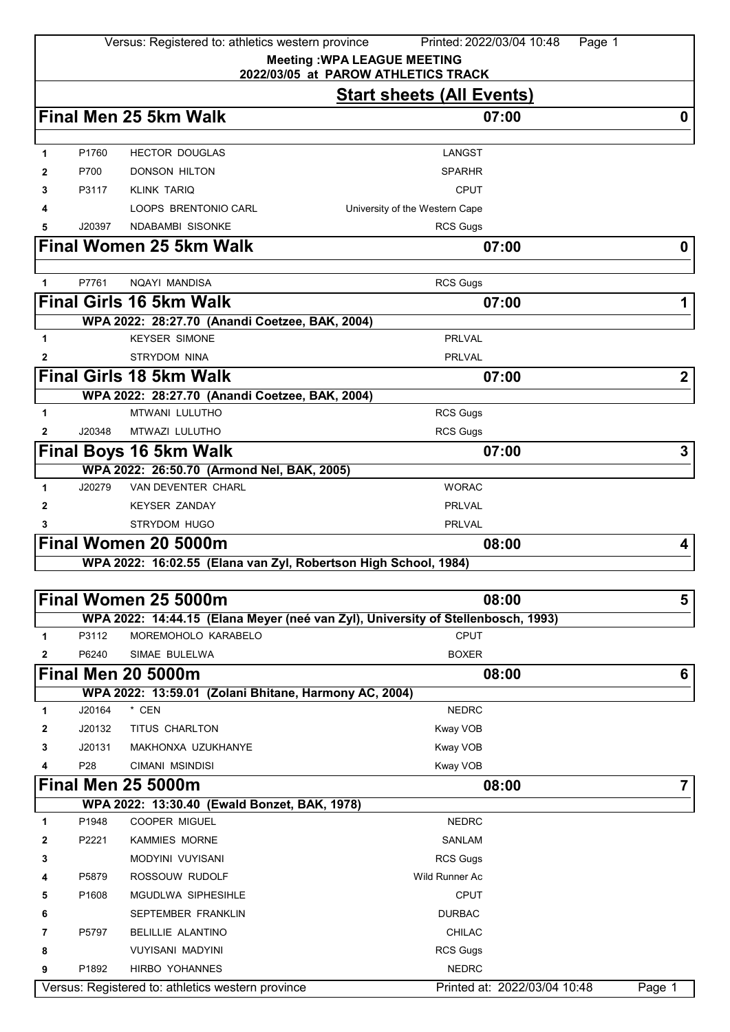|              |        | Versus: Registered to: athletics western province               | Printed: 2022/03/04 10:48<br>Page 1                                              |                         |
|--------------|--------|-----------------------------------------------------------------|----------------------------------------------------------------------------------|-------------------------|
|              |        |                                                                 | <b>Meeting: WPA LEAGUE MEETING</b><br>2022/03/05 at PAROW ATHLETICS TRACK        |                         |
|              |        |                                                                 | <b>Start sheets (All Events)</b>                                                 |                         |
|              |        | Final Men 25 5km Walk                                           | 07:00                                                                            | 0                       |
| 1            | P1760  | <b>HECTOR DOUGLAS</b>                                           | <b>LANGST</b>                                                                    |                         |
| 2            | P700   | DONSON HILTON                                                   | <b>SPARHR</b>                                                                    |                         |
| 3            | P3117  | KLINK TARIQ                                                     | <b>CPUT</b>                                                                      |                         |
|              |        | LOOPS BRENTONIO CARL                                            | University of the Western Cape                                                   |                         |
| 5            | J20397 | <b>NDABAMBI SISONKE</b>                                         | <b>RCS Gugs</b>                                                                  |                         |
|              |        | <b>Final Women 25 5km Walk</b>                                  | 07:00                                                                            | 0                       |
|              |        |                                                                 |                                                                                  |                         |
| 1            | P7761  | <b>NQAYI MANDISA</b>                                            | <b>RCS Gugs</b>                                                                  |                         |
|              |        | <b>Final Girls 16 5km Walk</b>                                  | 07:00                                                                            | 1                       |
|              |        | WPA 2022: 28:27.70 (Anandi Coetzee, BAK, 2004)                  |                                                                                  |                         |
| 1            |        | <b>KEYSER SIMONE</b>                                            | <b>PRLVAL</b>                                                                    |                         |
| 2            |        | <b>STRYDOM NINA</b>                                             | PRLVAL                                                                           |                         |
|              |        | <b>Final Girls 18 5km Walk</b>                                  | 07:00                                                                            | $\overline{\mathbf{2}}$ |
|              |        | WPA 2022: 28:27.70 (Anandi Coetzee, BAK, 2004)                  |                                                                                  |                         |
| 1            |        | <b>MTWANI LULUTHO</b>                                           | <b>RCS Gugs</b>                                                                  |                         |
| 2            | J20348 | MTWAZI LULUTHO                                                  | RCS Gugs                                                                         |                         |
|              |        | <b>Final Boys 16 5km Walk</b>                                   | 07:00                                                                            | 3                       |
|              |        | WPA 2022: 26:50.70 (Armond Nel, BAK, 2005)                      |                                                                                  |                         |
| 1            | J20279 | <b>VAN DEVENTER CHARL</b>                                       | <b>WORAC</b>                                                                     |                         |
| 2            |        | <b>KEYSER ZANDAY</b>                                            | <b>PRLVAL</b>                                                                    |                         |
| 3            |        | <b>STRYDOM HUGO</b>                                             | <b>PRLVAL</b>                                                                    |                         |
|              |        | Final Women 20 5000m                                            | 08:00                                                                            | 4                       |
|              |        | WPA 2022: 16:02.55 (Elana van Zyl, Robertson High School, 1984) |                                                                                  |                         |
|              |        | Final Women 25 5000m                                            | 08:00                                                                            | 5                       |
|              |        |                                                                 | WPA 2022: 14:44.15 (Elana Meyer (neé van Zyl), University of Stellenbosch, 1993) |                         |
| 1            | P3112  | MOREMOHOLO KARABELO                                             | <b>CPUT</b>                                                                      |                         |
| $\mathbf{2}$ | P6240  | SIMAE BULELWA                                                   | <b>BOXER</b>                                                                     |                         |
|              |        | <b>Final Men 20 5000m</b>                                       | 08:00                                                                            | 6                       |
|              |        | WPA 2022: 13:59.01 (Zolani Bhitane, Harmony AC, 2004)           |                                                                                  |                         |
| 1            | J20164 | * CEN                                                           | <b>NEDRC</b>                                                                     |                         |
| 2            | J20132 | TITUS CHARLTON                                                  | Kway VOB                                                                         |                         |
| 3            | J20131 | MAKHONXA UZUKHANYE                                              | Kway VOB                                                                         |                         |
| 4            | P28    | CIMANI MSINDISI                                                 | Kway VOB                                                                         |                         |
|              |        | <b>Final Men 25 5000m</b>                                       | 08:00                                                                            | $\overline{7}$          |
|              |        | WPA 2022: 13:30.40 (Ewald Bonzet, BAK, 1978)                    |                                                                                  |                         |
| 1            | P1948  | COOPER MIGUEL                                                   | <b>NEDRC</b>                                                                     |                         |
| 2            | P2221  | <b>KAMMIES MORNE</b>                                            | <b>SANLAM</b>                                                                    |                         |
| 3            |        | MODYINI VUYISANI                                                | <b>RCS Gugs</b>                                                                  |                         |
|              | P5879  | ROSSOUW RUDOLF                                                  | Wild Runner Ac                                                                   |                         |
| 5            | P1608  | MGUDLWA SIPHESIHLE                                              | <b>CPUT</b>                                                                      |                         |
| 6            |        | SEPTEMBER FRANKLIN                                              | <b>DURBAC</b>                                                                    |                         |
| 7            | P5797  | <b>BELILLIE ALANTINO</b>                                        | <b>CHILAC</b>                                                                    |                         |
| 8            | P1892  | <b>VUYISANI MADYINI</b><br><b>HIRBO YOHANNES</b>                | <b>RCS Gugs</b><br><b>NEDRC</b>                                                  |                         |
| 9            |        |                                                                 |                                                                                  |                         |
|              |        | Versus: Registered to: athletics western province               | Printed at: 2022/03/04 10:48                                                     | Page 1                  |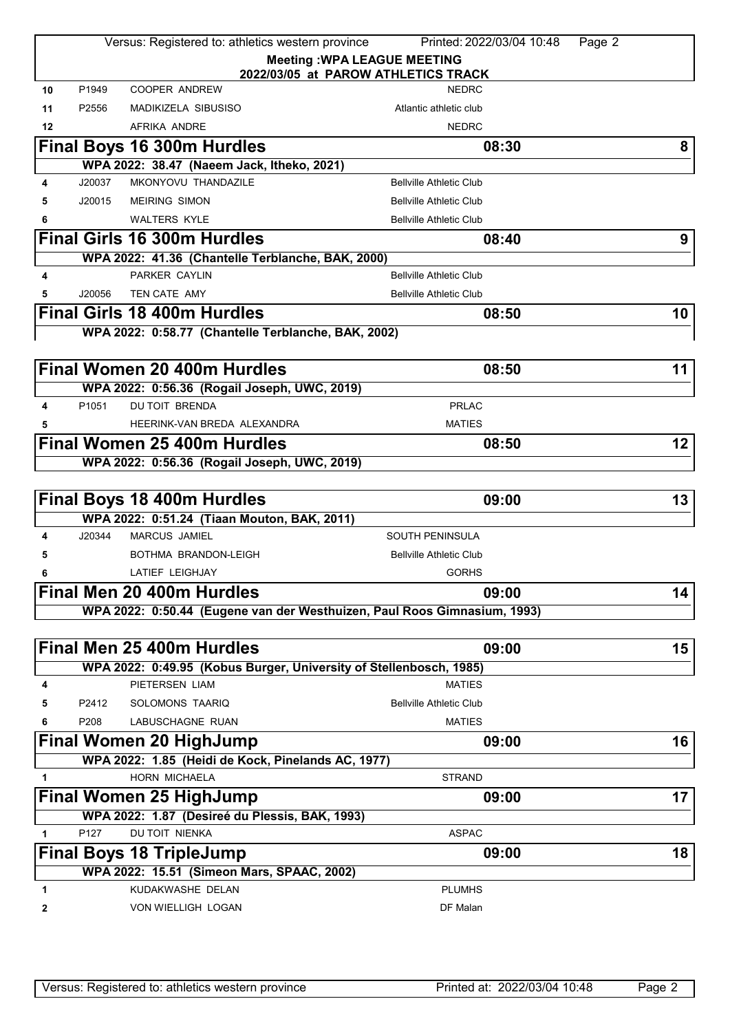|              |        | Versus: Registered to: athletics western province                        | Printed: 2022/03/04 10:48<br>Page 2                                       |                   |
|--------------|--------|--------------------------------------------------------------------------|---------------------------------------------------------------------------|-------------------|
|              |        |                                                                          | <b>Meeting: WPA LEAGUE MEETING</b><br>2022/03/05 at PAROW ATHLETICS TRACK |                   |
| 10           | P1949  | <b>COOPER ANDREW</b>                                                     | <b>NEDRC</b>                                                              |                   |
| 11           | P2556  | <b>MADIKIZELA SIBUSISO</b>                                               | Atlantic athletic club                                                    |                   |
| 12           |        | AFRIKA ANDRE                                                             | <b>NEDRC</b>                                                              |                   |
|              |        | Final Boys 16 300m Hurdles                                               | 08:30                                                                     | 8                 |
|              |        | WPA 2022: 38.47 (Naeem Jack, Itheko, 2021)                               |                                                                           |                   |
| 4            | J20037 | MKONYOVU THANDAZILE                                                      | <b>Bellville Athletic Club</b>                                            |                   |
| 5            | J20015 | <b>MEIRING SIMON</b>                                                     | <b>Bellville Athletic Club</b>                                            |                   |
| 6            |        | <b>WALTERS KYLE</b>                                                      | <b>Bellville Athletic Club</b>                                            |                   |
|              |        | <b>Final Girls 16 300m Hurdles</b>                                       | 08:40                                                                     | 9                 |
|              |        | WPA 2022: 41.36 (Chantelle Terblanche, BAK, 2000)                        |                                                                           |                   |
| 4            |        | PARKER CAYLIN                                                            | <b>Bellville Athletic Club</b>                                            |                   |
| 5            | J20056 | TEN CATE AMY                                                             | <b>Bellville Athletic Club</b>                                            |                   |
|              |        | <b>Final Girls 18 400m Hurdles</b>                                       | 08:50                                                                     | 10                |
|              |        | WPA 2022: 0:58.77 (Chantelle Terblanche, BAK, 2002)                      |                                                                           |                   |
|              |        | Final Women 20 400m Hurdles                                              | 08:50                                                                     | 11                |
|              |        | WPA 2022: 0:56.36 (Rogail Joseph, UWC, 2019)                             |                                                                           |                   |
| 4            | P1051  | <b>DU TOIT BRENDA</b>                                                    | <b>PRLAC</b>                                                              |                   |
|              |        | HEERINK-VAN BREDA ALEXANDRA                                              | <b>MATIES</b>                                                             |                   |
|              |        | <b>Final Women 25 400m Hurdles</b>                                       | 08:50                                                                     | $12 \overline{ }$ |
|              |        | WPA 2022: 0:56.36 (Rogail Joseph, UWC, 2019)                             |                                                                           |                   |
|              |        |                                                                          |                                                                           |                   |
|              |        | <b>Final Boys 18 400m Hurdles</b>                                        | 09:00                                                                     | 13                |
|              |        | WPA 2022: 0:51.24 (Tiaan Mouton, BAK, 2011)                              |                                                                           |                   |
| 4            | J20344 | <b>MARCUS JAMIEL</b>                                                     | <b>SOUTH PENINSULA</b>                                                    |                   |
| 5            |        | BOTHMA BRANDON-LEIGH                                                     | <b>Bellville Athletic Club</b>                                            |                   |
| 6            |        | <b>LATIEF LEIGHJAY</b>                                                   | <b>GORHS</b>                                                              |                   |
|              |        | Final Men 20 400m Hurdles                                                | 09:00                                                                     | 14                |
|              |        | WPA 2022: 0:50.44 (Eugene van der Westhuizen, Paul Roos Gimnasium, 1993) |                                                                           |                   |
|              |        | Final Men 25 400m Hurdles                                                |                                                                           |                   |
|              |        | WPA 2022: 0:49.95 (Kobus Burger, University of Stellenbosch, 1985)       | 09:00                                                                     | 15                |
| 4            |        | PIETERSEN LIAM                                                           | <b>MATIES</b>                                                             |                   |
| 5            | P2412  | SOLOMONS TAARIQ                                                          | <b>Bellville Athletic Club</b>                                            |                   |
| 6            | P208   | LABUSCHAGNE RUAN                                                         | <b>MATIES</b>                                                             |                   |
|              |        | <b>Final Women 20 HighJump</b>                                           | 09:00                                                                     | 16                |
|              |        | WPA 2022: 1.85 (Heidi de Kock, Pinelands AC, 1977)                       |                                                                           |                   |
| 1            |        | HORN MICHAELA                                                            | <b>STRAND</b>                                                             |                   |
|              |        | <b>Final Women 25 HighJump</b>                                           | 09:00                                                                     | 17                |
|              |        | WPA 2022: 1.87 (Desireé du Plessis, BAK, 1993)                           |                                                                           |                   |
| $\mathbf{1}$ | P127   | DU TOIT NIENKA                                                           | <b>ASPAC</b>                                                              |                   |
|              |        | <b>Final Boys 18 TripleJump</b>                                          | 09:00                                                                     | 18                |
|              |        | WPA 2022: 15.51 (Simeon Mars, SPAAC, 2002)                               |                                                                           |                   |
| 1            |        |                                                                          |                                                                           |                   |
|              |        | KUDAKWASHE DELAN                                                         | <b>PLUMHS</b>                                                             |                   |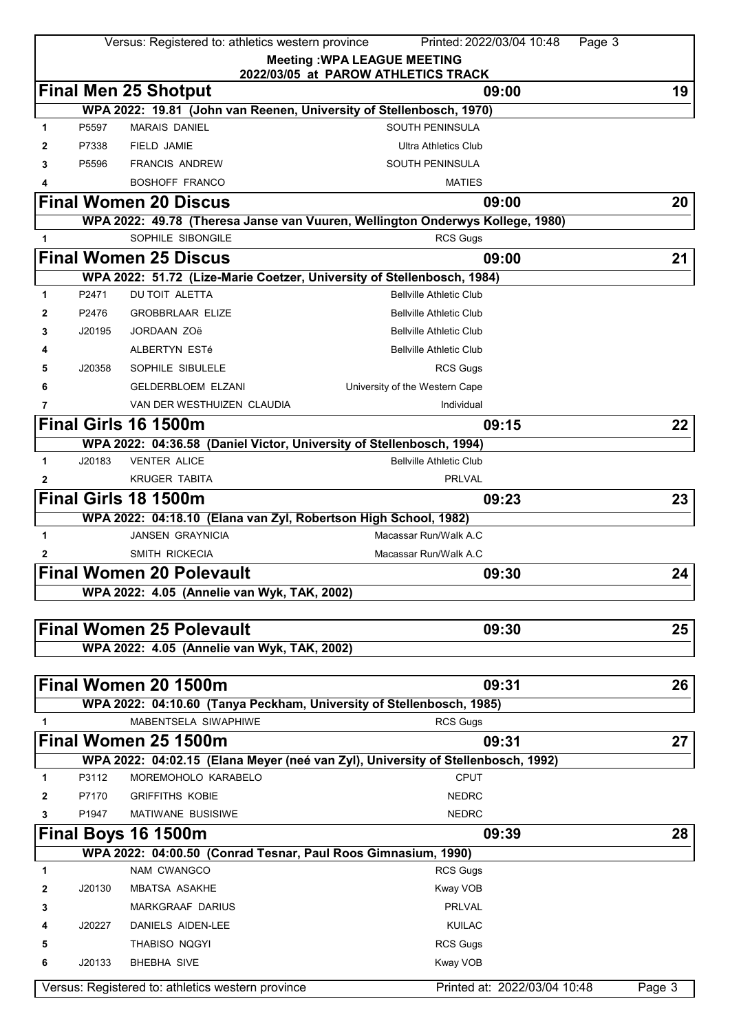|                                     |        | Versus: Registered to: athletics western province                                           | Printed: 2022/03/04 10:48<br>Page 3                                              |        |  |  |
|-------------------------------------|--------|---------------------------------------------------------------------------------------------|----------------------------------------------------------------------------------|--------|--|--|
|                                     |        |                                                                                             | <b>Meeting: WPA LEAGUE MEETING</b>                                               |        |  |  |
| 2022/03/05 at PAROW ATHLETICS TRACK |        |                                                                                             |                                                                                  |        |  |  |
|                                     |        | <b>Final Men 25 Shotput</b>                                                                 | 09:00                                                                            | 19     |  |  |
|                                     |        |                                                                                             | WPA 2022: 19.81 (John van Reenen, University of Stellenbosch, 1970)              |        |  |  |
| 1                                   | P5597  | <b>MARAIS DANIEL</b>                                                                        | SOUTH PENINSULA                                                                  |        |  |  |
| 2                                   | P7338  | FIELD JAMIE                                                                                 | <b>Ultra Athletics Club</b>                                                      |        |  |  |
| 3                                   | P5596  | <b>FRANCIS ANDREW</b>                                                                       | SOUTH PENINSULA                                                                  |        |  |  |
| 4                                   |        | <b>BOSHOFF FRANCO</b>                                                                       | <b>MATIES</b>                                                                    |        |  |  |
|                                     |        | <b>Final Women 20 Discus</b>                                                                | 09:00                                                                            | 20     |  |  |
|                                     |        |                                                                                             | WPA 2022: 49.78 (Theresa Janse van Vuuren, Wellington Onderwys Kollege, 1980)    |        |  |  |
| 1                                   |        | SOPHILE SIBONGILE                                                                           | <b>RCS Gugs</b>                                                                  |        |  |  |
|                                     |        | <b>Final Women 25 Discus</b>                                                                | 09:00                                                                            | 21     |  |  |
|                                     |        |                                                                                             | WPA 2022: 51.72 (Lize-Marie Coetzer, University of Stellenbosch, 1984)           |        |  |  |
| 1                                   | P2471  | DU TOIT ALETTA                                                                              | <b>Bellville Athletic Club</b>                                                   |        |  |  |
| 2                                   | P2476  | <b>GROBBRLAAR ELIZE</b>                                                                     | <b>Bellville Athletic Club</b>                                                   |        |  |  |
| 3                                   | J20195 | JORDAAN ZOë                                                                                 | <b>Bellville Athletic Club</b>                                                   |        |  |  |
| 4                                   |        | ALBERTYN ESTé                                                                               | <b>Bellville Athletic Club</b>                                                   |        |  |  |
| 5                                   | J20358 | SOPHILE SIBULELE                                                                            | <b>RCS Gugs</b>                                                                  |        |  |  |
| 6                                   |        | <b>GELDERBLOEM ELZANI</b>                                                                   | University of the Western Cape                                                   |        |  |  |
| 7                                   |        | VAN DER WESTHUIZEN CLAUDIA                                                                  | Individual                                                                       |        |  |  |
|                                     |        | Final Girls 16 1500m                                                                        | 09:15                                                                            | 22     |  |  |
|                                     |        |                                                                                             |                                                                                  |        |  |  |
| 1                                   | J20183 | WPA 2022: 04:36.58 (Daniel Victor, University of Stellenbosch, 1994)<br><b>VENTER ALICE</b> | <b>Bellville Athletic Club</b>                                                   |        |  |  |
|                                     |        | <b>KRUGER TABITA</b>                                                                        | <b>PRLVAL</b>                                                                    |        |  |  |
| 2                                   |        |                                                                                             |                                                                                  |        |  |  |
|                                     |        | Final Girls 18 1500m                                                                        | 09:23                                                                            | 23     |  |  |
|                                     |        | WPA 2022: 04:18.10 (Elana van Zyl, Robertson High School, 1982)                             |                                                                                  |        |  |  |
| 1                                   |        | <b>JANSEN GRAYNICIA</b>                                                                     | Macassar Run/Walk A.C                                                            |        |  |  |
| 2                                   |        | SMITH RICKECIA                                                                              | Macassar Run/Walk A.C                                                            |        |  |  |
|                                     |        | <b>Final Women 20 Polevault</b>                                                             | 09:30                                                                            | 24     |  |  |
|                                     |        | WPA 2022: 4.05 (Annelie van Wyk, TAK, 2002)                                                 |                                                                                  |        |  |  |
|                                     |        |                                                                                             |                                                                                  |        |  |  |
|                                     |        | <b>Final Women 25 Polevault</b>                                                             | 09:30                                                                            | 25     |  |  |
|                                     |        | WPA 2022: 4.05 (Annelie van Wyk, TAK, 2002)                                                 |                                                                                  |        |  |  |
|                                     |        |                                                                                             |                                                                                  |        |  |  |
|                                     |        | Final Women 20 1500m                                                                        | 09:31                                                                            | 26     |  |  |
|                                     |        |                                                                                             | WPA 2022: 04:10.60 (Tanya Peckham, University of Stellenbosch, 1985)             |        |  |  |
| 1                                   |        | MABENTSELA SIWAPHIWE                                                                        | <b>RCS Gugs</b>                                                                  |        |  |  |
|                                     |        | Final Women 25 1500m                                                                        | 09:31                                                                            | 27     |  |  |
|                                     |        |                                                                                             | WPA 2022: 04:02.15 (Elana Meyer (neé van Zyl), University of Stellenbosch, 1992) |        |  |  |
| 1                                   | P3112  | MOREMOHOLO KARABELO                                                                         | <b>CPUT</b>                                                                      |        |  |  |
| 2                                   | P7170  | <b>GRIFFITHS KOBIE</b>                                                                      | <b>NEDRC</b>                                                                     |        |  |  |
| 3                                   | P1947  | MATIWANE BUSISIWE                                                                           | <b>NEDRC</b>                                                                     |        |  |  |
|                                     |        | Final Boys 16 1500m                                                                         | 09:39                                                                            | 28     |  |  |
|                                     |        | WPA 2022: 04:00.50 (Conrad Tesnar, Paul Roos Gimnasium, 1990)                               |                                                                                  |        |  |  |
| 1                                   |        | NAM CWANGCO                                                                                 | <b>RCS Gugs</b>                                                                  |        |  |  |
| 2                                   | J20130 | <b>MBATSA ASAKHE</b>                                                                        | Kway VOB                                                                         |        |  |  |
| 3                                   |        | MARKGRAAF DARIUS                                                                            | <b>PRLVAL</b>                                                                    |        |  |  |
| 4                                   | J20227 | DANIELS AIDEN-LEE                                                                           | <b>KUILAC</b>                                                                    |        |  |  |
| 5                                   |        | THABISO NQGYI                                                                               | <b>RCS Gugs</b>                                                                  |        |  |  |
| 6                                   | J20133 | <b>BHEBHA SIVE</b>                                                                          | Kway VOB                                                                         |        |  |  |
|                                     |        |                                                                                             |                                                                                  |        |  |  |
|                                     |        | Versus: Registered to: athletics western province                                           | Printed at: 2022/03/04 10:48                                                     | Page 3 |  |  |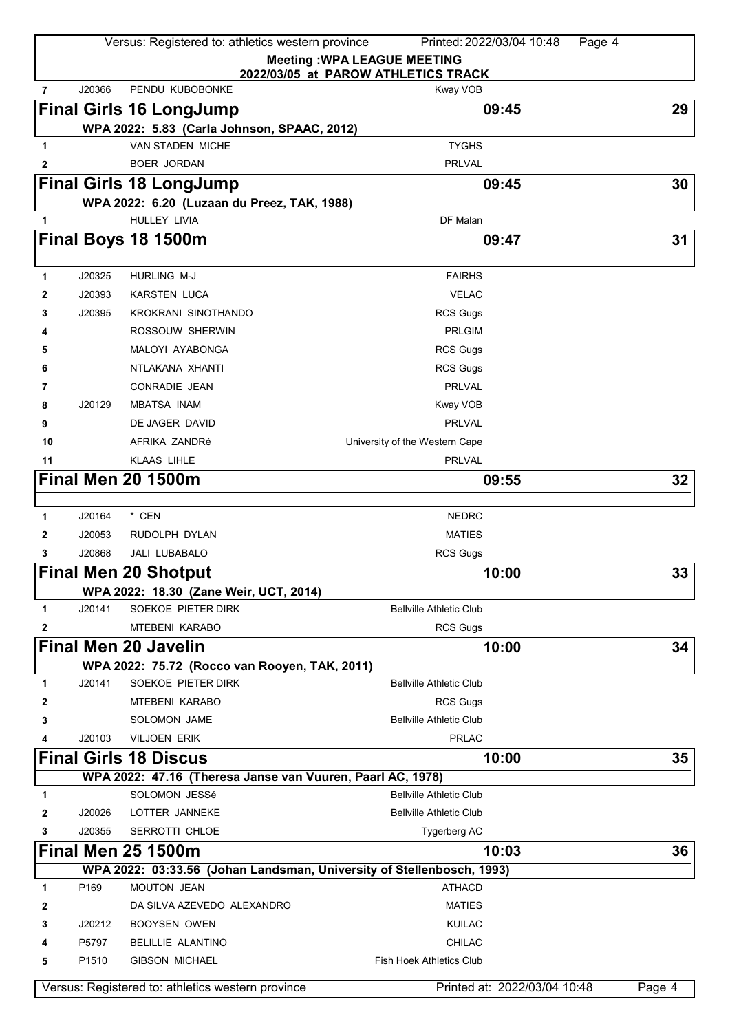|              |        | Versus: Registered to: athletics western province                     | Printed: 2022/03/04 10:48                                                 | Page 4 |
|--------------|--------|-----------------------------------------------------------------------|---------------------------------------------------------------------------|--------|
|              |        |                                                                       | <b>Meeting: WPA LEAGUE MEETING</b><br>2022/03/05 at PAROW ATHLETICS TRACK |        |
| 7            | J20366 | PENDU KUBOBONKE                                                       | Kway VOB                                                                  |        |
|              |        | <b>Final Girls 16 LongJump</b>                                        | 09:45                                                                     | 29     |
|              |        | WPA 2022: 5.83 (Carla Johnson, SPAAC, 2012)                           |                                                                           |        |
| $\mathbf{1}$ |        | <b>VAN STADEN MICHE</b>                                               | <b>TYGHS</b>                                                              |        |
| 2            |        | <b>BOER JORDAN</b>                                                    | <b>PRLVAL</b>                                                             |        |
|              |        | <b>Final Girls 18 LongJump</b>                                        | 09:45                                                                     | 30     |
|              |        | WPA 2022: 6.20 (Luzaan du Preez, TAK, 1988)                           |                                                                           |        |
| 1            |        | HULLEY LIVIA                                                          | DF Malan                                                                  |        |
|              |        | Final Boys 18 1500m                                                   | 09:47                                                                     | 31     |
|              |        |                                                                       |                                                                           |        |
| 1            | J20325 | <b>HURLING M-J</b>                                                    | <b>FAIRHS</b>                                                             |        |
| 2            | J20393 | <b>KARSTEN LUCA</b>                                                   | <b>VELAC</b>                                                              |        |
| 3            | J20395 | KROKRANI SINOTHANDO                                                   | <b>RCS Gugs</b>                                                           |        |
| 4            |        | ROSSOUW SHERWIN                                                       | <b>PRLGIM</b>                                                             |        |
| 5            |        | MALOYI AYABONGA                                                       | <b>RCS Gugs</b>                                                           |        |
| 6            |        | NTLAKANA XHANTI                                                       | <b>RCS Gugs</b>                                                           |        |
| 7            |        | <b>CONRADIE JEAN</b>                                                  | <b>PRLVAL</b>                                                             |        |
| 8            | J20129 | <b>MBATSA INAM</b>                                                    | Kway VOB                                                                  |        |
| 9            |        | DE JAGER DAVID                                                        | <b>PRLVAL</b>                                                             |        |
| 10           |        | AFRIKA ZANDRé                                                         | University of the Western Cape                                            |        |
| 11           |        | <b>KLAAS LIHLE</b>                                                    | <b>PRLVAL</b>                                                             |        |
|              |        | <b>Final Men 20 1500m</b>                                             | 09:55                                                                     | 32     |
|              |        |                                                                       |                                                                           |        |
| 1            | J20164 | * CEN                                                                 | <b>NEDRC</b>                                                              |        |
| 2            | J20053 | RUDOLPH DYLAN                                                         | <b>MATIES</b>                                                             |        |
| 3            | J20868 | JALI LUBABALO                                                         | RCS Gugs                                                                  |        |
|              |        | <b>Final Men 20 Shotput</b>                                           | 10:00                                                                     | 33     |
|              |        | WPA 2022: 18.30 (Zane Weir, UCT, 2014)                                |                                                                           |        |
| 1            | J20141 | SOEKOE PIETER DIRK                                                    | <b>Bellville Athletic Club</b>                                            |        |
| 2            |        | <b>MTEBENI KARABO</b>                                                 | <b>RCS Gugs</b>                                                           |        |
|              |        | <b>Final Men 20 Javelin</b>                                           | 10:00                                                                     | 34     |
|              |        | WPA 2022: 75.72 (Rocco van Rooyen, TAK, 2011)                         |                                                                           |        |
| 1            | J20141 | SOEKOE PIETER DIRK                                                    | <b>Bellville Athletic Club</b>                                            |        |
| 2            |        | <b>MTEBENI KARABO</b>                                                 | <b>RCS Gugs</b>                                                           |        |
| 3            |        | <b>SOLOMON JAME</b>                                                   | <b>Bellville Athletic Club</b>                                            |        |
| 4            | J20103 | <b>VILJOEN ERIK</b>                                                   | <b>PRLAC</b>                                                              |        |
|              |        | <b>Final Girls 18 Discus</b>                                          | 10:00                                                                     | 35     |
|              |        | WPA 2022: 47.16 (Theresa Janse van Vuuren, Paarl AC, 1978)            |                                                                           |        |
| 1            |        | SOLOMON JESSé                                                         | <b>Bellville Athletic Club</b>                                            |        |
| 2            | J20026 | LOTTER JANNEKE                                                        | <b>Bellville Athletic Club</b>                                            |        |
| 3            | J20355 | SERROTTI CHLOE                                                        | Tygerberg AC                                                              |        |
|              |        | <b>Final Men 25 1500m</b>                                             | 10:03                                                                     | 36     |
|              |        | WPA 2022: 03:33.56 (Johan Landsman, University of Stellenbosch, 1993) |                                                                           |        |
| 1            | P169   | MOUTON JEAN                                                           | <b>ATHACD</b>                                                             |        |
| 2            |        | DA SILVA AZEVEDO ALEXANDRO                                            | <b>MATIES</b>                                                             |        |
| 3            | J20212 | <b>BOOYSEN OWEN</b>                                                   | <b>KUILAC</b>                                                             |        |
|              | P5797  | <b>BELILLIE ALANTINO</b>                                              | <b>CHILAC</b>                                                             |        |
| 5            | P1510  | <b>GIBSON MICHAEL</b>                                                 | <b>Fish Hoek Athletics Club</b>                                           |        |
|              |        | Versus: Registered to: athletics western province                     | Printed at: 2022/03/04 10:48                                              | Page 4 |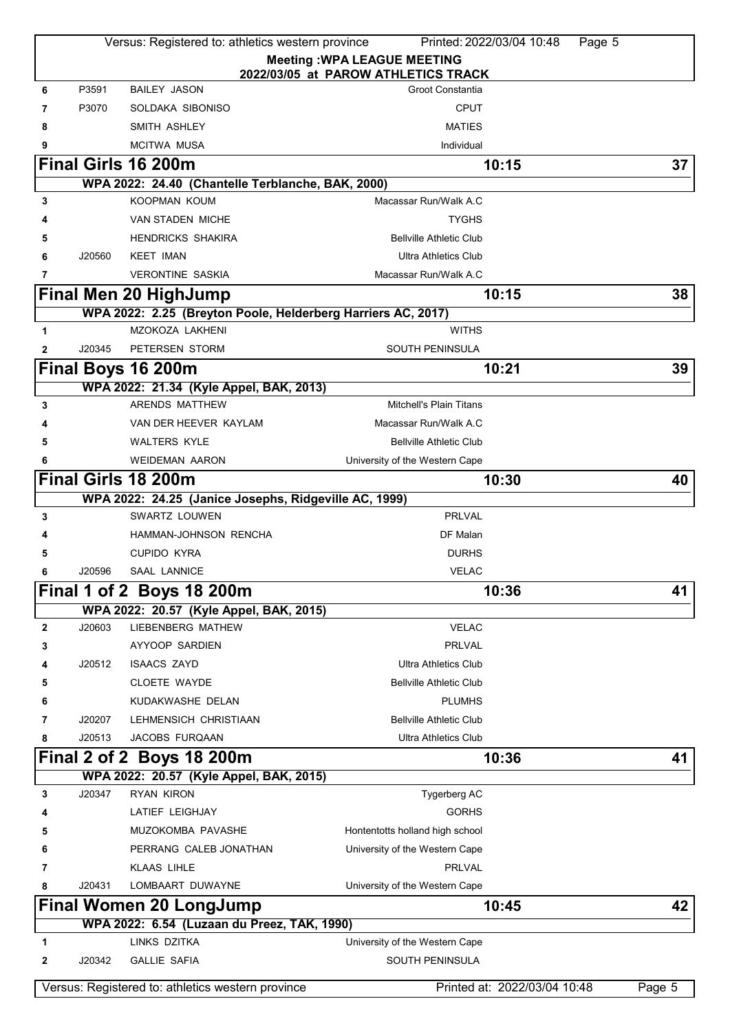|   |        | Versus: Registered to: athletics western province                             | Printed: 2022/03/04 10:48                                    | Page 5 |
|---|--------|-------------------------------------------------------------------------------|--------------------------------------------------------------|--------|
|   |        |                                                                               | <b>Meeting: WPA LEAGUE MEETING</b>                           |        |
|   |        |                                                                               | 2022/03/05 at PAROW ATHLETICS TRACK                          |        |
| 6 | P3591  | <b>BAILEY JASON</b>                                                           | Groot Constantia                                             |        |
| 7 | P3070  | SOLDAKA SIBONISO                                                              | <b>CPUT</b>                                                  |        |
| 8 |        | SMITH ASHLEY                                                                  | <b>MATIES</b>                                                |        |
|   |        | <b>MCITWA MUSA</b>                                                            | Individual                                                   |        |
|   |        | <b>Final Girls 16 200m</b>                                                    | 10:15                                                        | 37     |
|   |        | WPA 2022: 24.40 (Chantelle Terblanche, BAK, 2000)                             |                                                              |        |
| 3 |        | <b>KOOPMAN KOUM</b>                                                           | Macassar Run/Walk A.C                                        |        |
|   |        | <b>VAN STADEN MICHE</b>                                                       | <b>TYGHS</b>                                                 |        |
| 5 |        | <b>HENDRICKS SHAKIRA</b>                                                      | <b>Bellville Athletic Club</b>                               |        |
| 6 | J20560 | <b>KEET IMAN</b>                                                              | <b>Ultra Athletics Club</b><br>Macassar Run/Walk A.C         |        |
| 7 |        | <b>VERONTINE SASKIA</b>                                                       |                                                              |        |
|   |        | <b>Final Men 20 HighJump</b>                                                  | 10:15                                                        | 38     |
|   |        | MZOKOZA LAKHENI                                                               | WPA 2022: 2.25 (Breyton Poole, Helderberg Harriers AC, 2017) |        |
| 1 |        |                                                                               | <b>WITHS</b>                                                 |        |
| 2 | J20345 | PETERSEN STORM                                                                | SOUTH PENINSULA                                              |        |
|   |        | Final Boys 16 200m                                                            | 10:21                                                        | 39     |
|   |        | WPA 2022: 21.34 (Kyle Appel, BAK, 2013)<br><b>ARENDS MATTHEW</b>              | Mitchell's Plain Titans                                      |        |
| 3 |        |                                                                               |                                                              |        |
|   |        | VAN DER HEEVER KAYLAM                                                         | Macassar Run/Walk A.C                                        |        |
| 5 |        | <b>WALTERS KYLE</b>                                                           | <b>Bellville Athletic Club</b>                               |        |
| 6 |        | <b>WEIDEMAN AARON</b>                                                         | University of the Western Cape                               |        |
|   |        | <b>Final Girls 18 200m</b>                                                    | 10:30                                                        | 40     |
| 3 |        | WPA 2022: 24.25 (Janice Josephs, Ridgeville AC, 1999)<br><b>SWARTZ LOUWEN</b> | <b>PRLVAL</b>                                                |        |
|   |        | HAMMAN-JOHNSON RENCHA                                                         | DF Malan                                                     |        |
|   |        | <b>CUPIDO KYRA</b>                                                            | <b>DURHS</b>                                                 |        |
| 6 | J20596 | <b>SAAL LANNICE</b>                                                           | <b>VELAC</b>                                                 |        |
|   |        |                                                                               |                                                              | 41     |
|   |        | Final 1 of 2 Boys 18 200m<br>WPA 2022: 20.57 (Kyle Appel, BAK, 2015)          | 10:36                                                        |        |
| 2 | J20603 | LIEBENBERG MATHEW                                                             | <b>VELAC</b>                                                 |        |
| 3 |        | AYYOOP SARDIEN                                                                | <b>PRLVAL</b>                                                |        |
| 4 | J20512 | <b>ISAACS ZAYD</b>                                                            | <b>Ultra Athletics Club</b>                                  |        |
| 5 |        | <b>CLOETE WAYDE</b>                                                           | <b>Bellville Athletic Club</b>                               |        |
| 6 |        | KUDAKWASHE DELAN                                                              | <b>PLUMHS</b>                                                |        |
| 7 | J20207 | LEHMENSICH CHRISTIAAN                                                         | <b>Bellville Athletic Club</b>                               |        |
| 8 | J20513 | JACOBS FURQAAN                                                                | <b>Ultra Athletics Club</b>                                  |        |
|   |        | Final 2 of 2 Boys 18 200m                                                     | 10:36                                                        | 41     |
|   |        | WPA 2022: 20.57 (Kyle Appel, BAK, 2015)                                       |                                                              |        |
| 3 | J20347 | <b>RYAN KIRON</b>                                                             | Tygerberg AC                                                 |        |
|   |        | LATIEF LEIGHJAY                                                               | <b>GORHS</b>                                                 |        |
|   |        | MUZOKOMBA PAVASHE                                                             | Hontentotts holland high school                              |        |
| 6 |        | PERRANG CALEB JONATHAN                                                        | University of the Western Cape                               |        |
| 7 |        | <b>KLAAS LIHLE</b>                                                            | <b>PRLVAL</b>                                                |        |
| 8 | J20431 | LOMBAART DUWAYNE                                                              | University of the Western Cape                               |        |
|   |        | <b>Final Women 20 LongJump</b>                                                | 10:45                                                        | 42     |
|   |        | WPA 2022: 6.54 (Luzaan du Preez, TAK, 1990)                                   |                                                              |        |
| 1 |        | LINKS DZITKA                                                                  | University of the Western Cape                               |        |
| 2 | J20342 | <b>GALLIE SAFIA</b>                                                           | SOUTH PENINSULA                                              |        |
|   |        |                                                                               |                                                              |        |
|   |        | Versus: Registered to: athletics western province                             | Printed at: 2022/03/04 10:48                                 | Page 5 |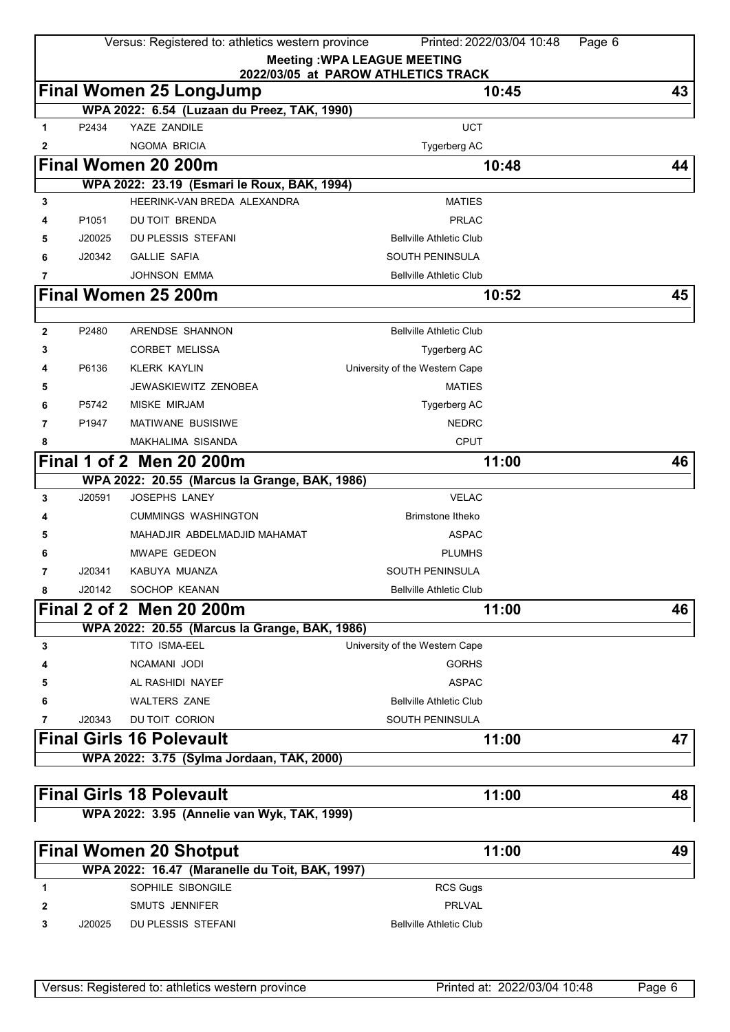|              |                   | Versus: Registered to: athletics western province | Printed: 2022/03/04 10:48                                                 | Page 6 |
|--------------|-------------------|---------------------------------------------------|---------------------------------------------------------------------------|--------|
|              |                   |                                                   | <b>Meeting: WPA LEAGUE MEETING</b><br>2022/03/05 at PAROW ATHLETICS TRACK |        |
|              |                   | <b>Final Women 25 LongJump</b>                    | 10:45                                                                     | 43     |
|              |                   | WPA 2022: 6.54 (Luzaan du Preez, TAK, 1990)       |                                                                           |        |
| 1            | P2434             | YAZE ZANDILE                                      | <b>UCT</b>                                                                |        |
| 2            |                   | <b>NGOMA BRICIA</b>                               | Tygerberg AC                                                              |        |
|              |                   | Final Women 20 200m                               | 10:48                                                                     | 44     |
|              |                   | WPA 2022: 23.19 (Esmari le Roux, BAK, 1994)       |                                                                           |        |
| 3            |                   | HEERINK-VAN BREDA ALEXANDRA                       | <b>MATIES</b>                                                             |        |
| 4            | P <sub>1051</sub> | DU TOIT BRENDA                                    | <b>PRLAC</b>                                                              |        |
| 5            | J20025            | DU PLESSIS STEFANI                                | <b>Bellville Athletic Club</b>                                            |        |
| 6            | J20342            | <b>GALLIE SAFIA</b>                               | SOUTH PENINSULA                                                           |        |
| 7            |                   | <b>JOHNSON EMMA</b>                               | <b>Bellville Athletic Club</b>                                            |        |
|              |                   | Final Women 25 200m                               | 10:52                                                                     | 45     |
|              |                   |                                                   |                                                                           |        |
| $\mathbf{2}$ | P2480             | ARENDSE SHANNON                                   | <b>Bellville Athletic Club</b>                                            |        |
| 3            |                   | <b>CORBET MELISSA</b>                             | Tygerberg AC                                                              |        |
| 4            | P6136             | <b>KLERK KAYLIN</b>                               | University of the Western Cape                                            |        |
| 5            |                   | <b>JEWASKIEWITZ ZENOBEA</b>                       | <b>MATIES</b>                                                             |        |
| 6            | P5742             | MISKE MIRJAM                                      | Tygerberg AC                                                              |        |
| 7            | P1947             | <b>MATIWANE BUSISIWE</b>                          | <b>NEDRC</b>                                                              |        |
| 8            |                   | MAKHALIMA SISANDA                                 | <b>CPUT</b>                                                               |        |
|              |                   | Final 1 of 2 Men 20 200m                          | 11:00                                                                     | 46     |
|              |                   | WPA 2022: 20.55 (Marcus la Grange, BAK, 1986)     |                                                                           |        |
| 3            | J20591            | JOSEPHS LANEY                                     | <b>VELAC</b>                                                              |        |
| 4            |                   | <b>CUMMINGS WASHINGTON</b>                        | <b>Brimstone Itheko</b>                                                   |        |
| 5            |                   | MAHADJIR ABDELMADJID MAHAMAT                      | <b>ASPAC</b>                                                              |        |
| 6            |                   | MWAPE GEDEON                                      | <b>PLUMHS</b>                                                             |        |
| 7            | J20341            | KABUYA MUANZA                                     | <b>SOUTH PENINSULA</b>                                                    |        |
| 8            | J20142            | SOCHOP KEANAN                                     | <b>Bellville Athletic Club</b>                                            |        |
|              |                   | Final 2 of 2 Men 20 200m                          | 11:00                                                                     | 46     |
|              |                   | WPA 2022: 20.55 (Marcus la Grange, BAK, 1986)     |                                                                           |        |
| 3            |                   | TITO ISMA-EEL                                     | University of the Western Cape                                            |        |
| 4            |                   | NCAMANI JODI                                      | <b>GORHS</b>                                                              |        |
| 5            |                   | AL RASHIDI NAYEF                                  | <b>ASPAC</b>                                                              |        |
| 6            |                   | <b>WALTERS ZANE</b>                               | <b>Bellville Athletic Club</b>                                            |        |
| 7            | J20343            | DU TOIT CORION                                    | SOUTH PENINSULA                                                           |        |
|              |                   | <b>Final Girls 16 Polevault</b>                   | 11:00                                                                     | 47     |
|              |                   | WPA 2022: 3.75 (Sylma Jordaan, TAK, 2000)         |                                                                           |        |
|              |                   | <b>Final Girls 18 Polevault</b>                   | 11:00                                                                     | 48     |
|              |                   | WPA 2022: 3.95 (Annelie van Wyk, TAK, 1999)       |                                                                           |        |
|              |                   |                                                   |                                                                           |        |
|              |                   | <b>Final Women 20 Shotput</b>                     | 11:00                                                                     | 49     |
|              |                   | WPA 2022: 16.47 (Maranelle du Toit, BAK, 1997)    |                                                                           |        |
| 1            |                   | SOPHILE SIBONGILE                                 | <b>RCS Gugs</b>                                                           |        |
| 2            |                   | SMUTS JENNIFER                                    | <b>PRLVAL</b>                                                             |        |
| 3            | J20025            | DU PLESSIS STEFANI                                | <b>Bellville Athletic Club</b>                                            |        |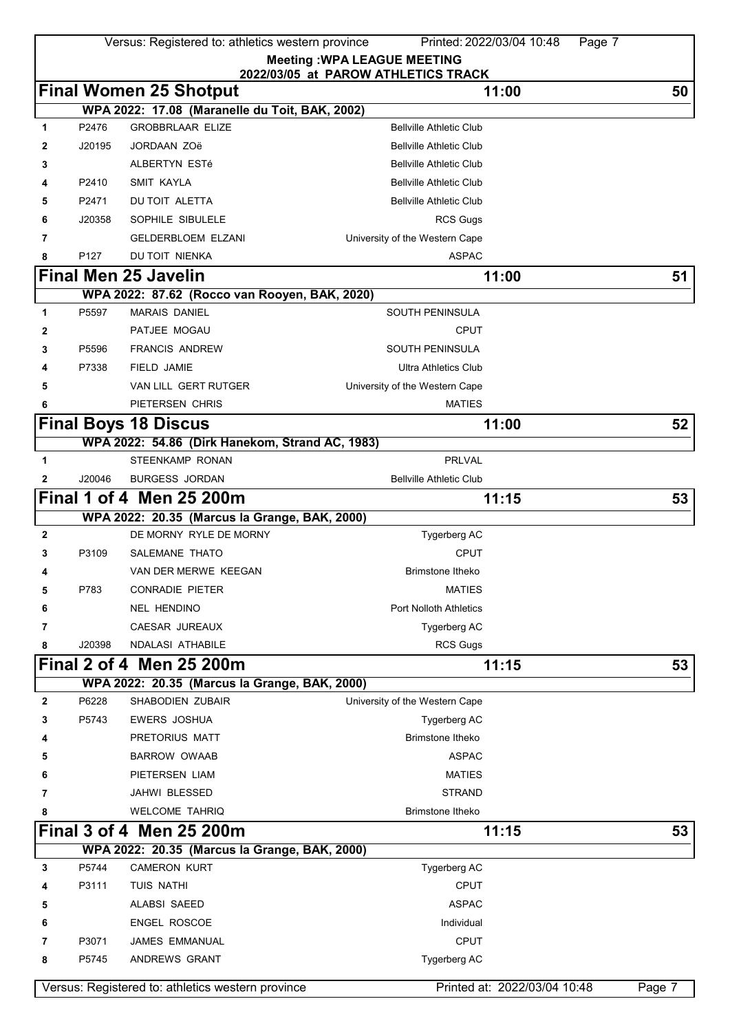|              |                  | Versus: Registered to: athletics western province | Printed: 2022/03/04 10:48                                                 | Page 7 |
|--------------|------------------|---------------------------------------------------|---------------------------------------------------------------------------|--------|
|              |                  |                                                   | <b>Meeting: WPA LEAGUE MEETING</b><br>2022/03/05 at PAROW ATHLETICS TRACK |        |
|              |                  | <b>Final Women 25 Shotput</b>                     | 11:00                                                                     | 50     |
|              |                  | WPA 2022: 17.08 (Maranelle du Toit, BAK, 2002)    |                                                                           |        |
| 1            | P2476            | <b>GROBBRLAAR ELIZE</b>                           | <b>Bellville Athletic Club</b>                                            |        |
| 2            | J20195           | <b>JORDAAN ZOë</b>                                | <b>Bellville Athletic Club</b>                                            |        |
| 3            |                  | ALBERTYN ESTé                                     | <b>Bellville Athletic Club</b>                                            |        |
| 4            | P2410            | <b>SMIT KAYLA</b>                                 | <b>Bellville Athletic Club</b>                                            |        |
| 5            | P2471            | DU TOIT ALETTA                                    | <b>Bellville Athletic Club</b>                                            |        |
| 6            | J20358           | SOPHILE SIBULELE                                  | <b>RCS Gugs</b>                                                           |        |
| 7            |                  | <b>GELDERBLOEM ELZANI</b>                         | University of the Western Cape                                            |        |
| 8            | P <sub>127</sub> | DU TOIT NIENKA                                    | <b>ASPAC</b>                                                              |        |
|              |                  | <b>Final Men 25 Javelin</b>                       | 11:00                                                                     | 51     |
|              |                  | WPA 2022: 87.62 (Rocco van Rooyen, BAK, 2020)     |                                                                           |        |
| 1            | P5597            | <b>MARAIS DANIEL</b>                              | <b>SOUTH PENINSULA</b>                                                    |        |
| 2            |                  | PATJEE MOGAU                                      | <b>CPUT</b>                                                               |        |
| 3            | P5596            | <b>FRANCIS ANDREW</b>                             | <b>SOUTH PENINSULA</b>                                                    |        |
| 4            | P7338            | FIELD JAMIE                                       | <b>Ultra Athletics Club</b>                                               |        |
| 5            |                  | VAN LILL GERT RUTGER                              | University of the Western Cape                                            |        |
| 6            |                  | PIETERSEN CHRIS                                   | <b>MATIES</b>                                                             |        |
|              |                  | <b>Final Boys 18 Discus</b>                       | 11:00                                                                     | 52     |
|              |                  | WPA 2022: 54.86 (Dirk Hanekom, Strand AC, 1983)   |                                                                           |        |
| 1            |                  | STEENKAMP RONAN                                   | <b>PRLVAL</b>                                                             |        |
| 2            | J20046           | <b>BURGESS JORDAN</b>                             | <b>Bellville Athletic Club</b>                                            |        |
|              |                  | Final 1 of 4 Men 25 200m                          | 11:15                                                                     | 53     |
|              |                  | WPA 2022: 20.35 (Marcus la Grange, BAK, 2000)     |                                                                           |        |
| 2            |                  | DE MORNY RYLE DE MORNY                            | Tygerberg AC                                                              |        |
| 3            | P3109            | SALEMANE THATO                                    | <b>CPUT</b>                                                               |        |
| 4            |                  | VAN DER MERWE KEEGAN                              | <b>Brimstone Itheko</b>                                                   |        |
| 5            | P783             | CONRADIE PIETER                                   | <b>MATIES</b>                                                             |        |
| 6            |                  | <b>NEL HENDINO</b>                                | <b>Port Nolloth Athletics</b>                                             |        |
| 7            |                  | CAESAR JUREAUX                                    | Tygerberg AC                                                              |        |
| 8            | J20398           | <b>NDALASI ATHABILE</b>                           | <b>RCS Gugs</b>                                                           |        |
|              |                  | Final 2 of 4 Men 25 200m                          | 11:15                                                                     | 53     |
|              |                  | WPA 2022: 20.35 (Marcus la Grange, BAK, 2000)     |                                                                           |        |
| $\mathbf{2}$ | P6228            | <b>SHABODIEN ZUBAIR</b>                           | University of the Western Cape                                            |        |
| 3            | P5743            | <b>EWERS JOSHUA</b>                               | Tygerberg AC                                                              |        |
| 4            |                  | PRETORIUS MATT                                    | <b>Brimstone Itheko</b>                                                   |        |
| 5            |                  | <b>BARROW OWAAB</b>                               | <b>ASPAC</b>                                                              |        |
| 6            |                  | PIETERSEN LIAM                                    | <b>MATIES</b>                                                             |        |
| 7            |                  | JAHWI BLESSED                                     | <b>STRAND</b>                                                             |        |
| 8            |                  | <b>WELCOME TAHRIQ</b>                             | Brimstone Itheko                                                          |        |
|              |                  | Final 3 of 4 Men 25 200m                          | 11:15                                                                     | 53     |
|              |                  | WPA 2022: 20.35 (Marcus la Grange, BAK, 2000)     |                                                                           |        |
| 3            | P5744            | <b>CAMERON KURT</b>                               | Tygerberg AC                                                              |        |
| 4            | P3111            | TUIS NATHI                                        | <b>CPUT</b>                                                               |        |
| 5            |                  | ALABSI SAEED                                      | <b>ASPAC</b>                                                              |        |
| 6            |                  | <b>ENGEL ROSCOE</b>                               | Individual                                                                |        |
| 7            | P3071            | JAMES EMMANUAL                                    | <b>CPUT</b>                                                               |        |
| 8            | P5745            | ANDREWS GRANT                                     | Tygerberg AC                                                              |        |
|              |                  |                                                   |                                                                           |        |
|              |                  | Versus: Registered to: athletics western province | Printed at: 2022/03/04 10:48                                              | Page 7 |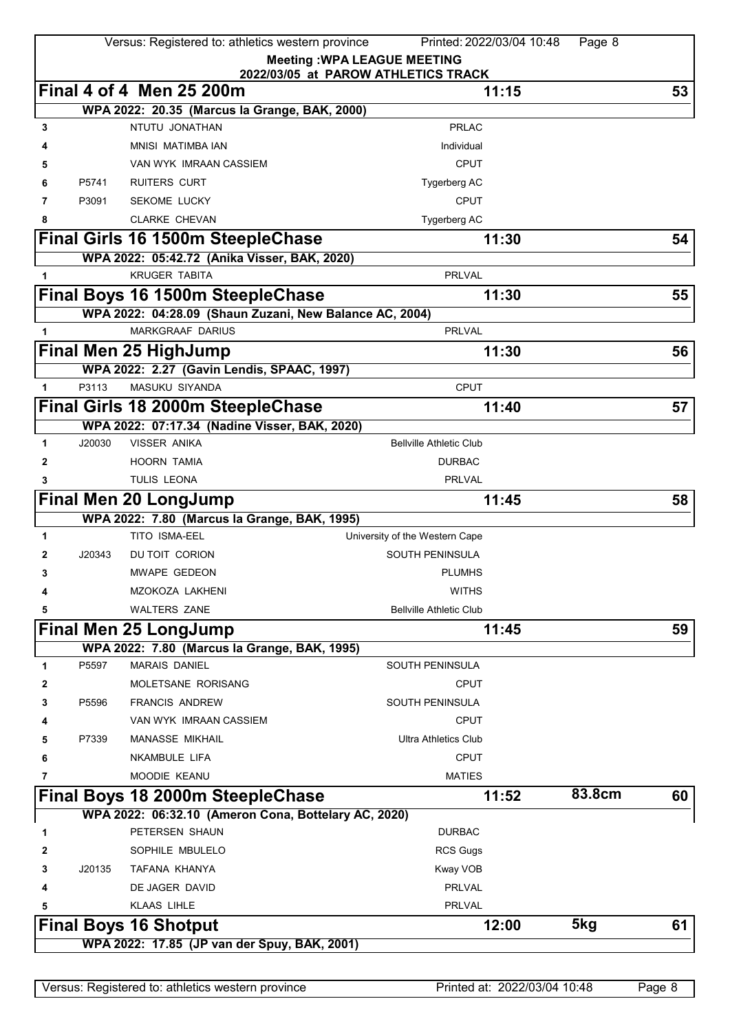|   |        | Versus: Registered to: athletics western province       | Printed: 2022/03/04 10:48<br><b>Meeting: WPA LEAGUE MEETING</b> | Page 8 |        |
|---|--------|---------------------------------------------------------|-----------------------------------------------------------------|--------|--------|
|   |        | Final 4 of 4 Men 25 200m                                | 2022/03/05 at PAROW ATHLETICS TRACK<br>11:15                    |        | 53     |
|   |        | WPA 2022: 20.35 (Marcus la Grange, BAK, 2000)           |                                                                 |        |        |
| 3 |        | NTUTU JONATHAN                                          | <b>PRLAC</b>                                                    |        |        |
|   |        | MNISI MATIMBA IAN                                       | Individual                                                      |        |        |
|   |        | VAN WYK IMRAAN CASSIEM                                  | <b>CPUT</b>                                                     |        |        |
|   | P5741  | <b>RUITERS CURT</b>                                     | Tygerberg AC                                                    |        |        |
| 7 | P3091  | <b>SEKOME LUCKY</b>                                     | <b>CPUT</b>                                                     |        |        |
| 8 |        | <b>CLARKE CHEVAN</b>                                    | Tygerberg AC                                                    |        |        |
|   |        | Final Girls 16 1500m SteepleChase                       | 11:30                                                           |        | 54     |
|   |        | WPA 2022: 05:42.72 (Anika Visser, BAK, 2020)            |                                                                 |        |        |
| 1 |        | <b>KRUGER TABITA</b>                                    | <b>PRLVAL</b>                                                   |        |        |
|   |        | Final Boys 16 1500m SteepleChase                        | 11:30                                                           |        | 55     |
|   |        | WPA 2022: 04:28.09 (Shaun Zuzani, New Balance AC, 2004) |                                                                 |        |        |
| 1 |        | <b>MARKGRAAF DARIUS</b>                                 | <b>PRLVAL</b>                                                   |        |        |
|   |        | <b>Final Men 25 HighJump</b>                            | 11:30                                                           |        | 56     |
|   |        | WPA 2022: 2.27 (Gavin Lendis, SPAAC, 1997)              |                                                                 |        |        |
| 1 | P3113  | <b>MASUKU SIYANDA</b>                                   | <b>CPUT</b>                                                     |        |        |
|   |        | Final Girls 18 2000m SteepleChase                       | 11:40                                                           |        | 57     |
|   |        | WPA 2022: 07:17.34 (Nadine Visser, BAK, 2020)           |                                                                 |        |        |
| 1 | J20030 | <b>VISSER ANIKA</b>                                     | <b>Bellville Athletic Club</b>                                  |        |        |
| 2 |        | <b>HOORN TAMIA</b>                                      | <b>DURBAC</b>                                                   |        |        |
| 3 |        | TULIS LEONA                                             | <b>PRLVAL</b>                                                   |        |        |
|   |        | <b>Final Men 20 LongJump</b>                            | 11:45                                                           |        | 58     |
|   |        | WPA 2022: 7.80 (Marcus la Grange, BAK, 1995)            |                                                                 |        |        |
| 1 |        | TITO ISMA-EEL                                           | University of the Western Cape                                  |        |        |
| 2 | J20343 | DU TOIT CORION                                          | <b>SOUTH PENINSULA</b>                                          |        |        |
| 3 |        | <b>MWAPE GEDEON</b>                                     | <b>PLUMHS</b>                                                   |        |        |
| 4 |        | MZOKOZA LAKHENI                                         | WITHS                                                           |        |        |
| 5 |        | <b>WALTERS ZANE</b>                                     | <b>Bellville Athletic Club</b>                                  |        |        |
|   |        | <b>Final Men 25 LongJump</b>                            | 11:45                                                           |        | 59     |
|   |        | WPA 2022: 7.80 (Marcus la Grange, BAK, 1995)            |                                                                 |        |        |
| 1 | P5597  | <b>MARAIS DANIEL</b>                                    | SOUTH PENINSULA                                                 |        |        |
| 2 |        | MOLETSANE RORISANG                                      | <b>CPUT</b>                                                     |        |        |
| 3 | P5596  | <b>FRANCIS ANDREW</b>                                   | <b>SOUTH PENINSULA</b>                                          |        |        |
| 4 |        | VAN WYK IMRAAN CASSIEM                                  | <b>CPUT</b>                                                     |        |        |
| 5 | P7339  | <b>MANASSE MIKHAIL</b>                                  | <b>Ultra Athletics Club</b>                                     |        |        |
| 6 |        | NKAMBULE LIFA                                           | <b>CPUT</b>                                                     |        |        |
| 7 |        | MOODIE KEANU                                            | <b>MATIES</b>                                                   |        |        |
|   |        | Final Boys 18 2000m SteepleChase                        | 11:52                                                           | 83.8cm | 60     |
|   |        | WPA 2022: 06:32.10 (Ameron Cona, Bottelary AC, 2020)    |                                                                 |        |        |
| 1 |        | PETERSEN SHAUN                                          | <b>DURBAC</b>                                                   |        |        |
| 2 |        | SOPHILE MBULELO                                         | <b>RCS Gugs</b>                                                 |        |        |
| 3 | J20135 | TAFANA KHANYA                                           | Kway VOB                                                        |        |        |
| 4 |        | DE JAGER DAVID                                          | <b>PRLVAL</b>                                                   |        |        |
| 5 |        | <b>KLAAS LIHLE</b>                                      | <b>PRLVAL</b>                                                   |        |        |
|   |        | <b>Final Boys 16 Shotput</b>                            | 12:00                                                           | 5kg    | 61     |
|   |        | WPA 2022: 17.85 (JP van der Spuy, BAK, 2001)            |                                                                 |        |        |
|   |        |                                                         |                                                                 |        |        |
|   |        | Versus: Registered to: athletics western province       | Printed at: 2022/03/04 10:48                                    |        | Page 8 |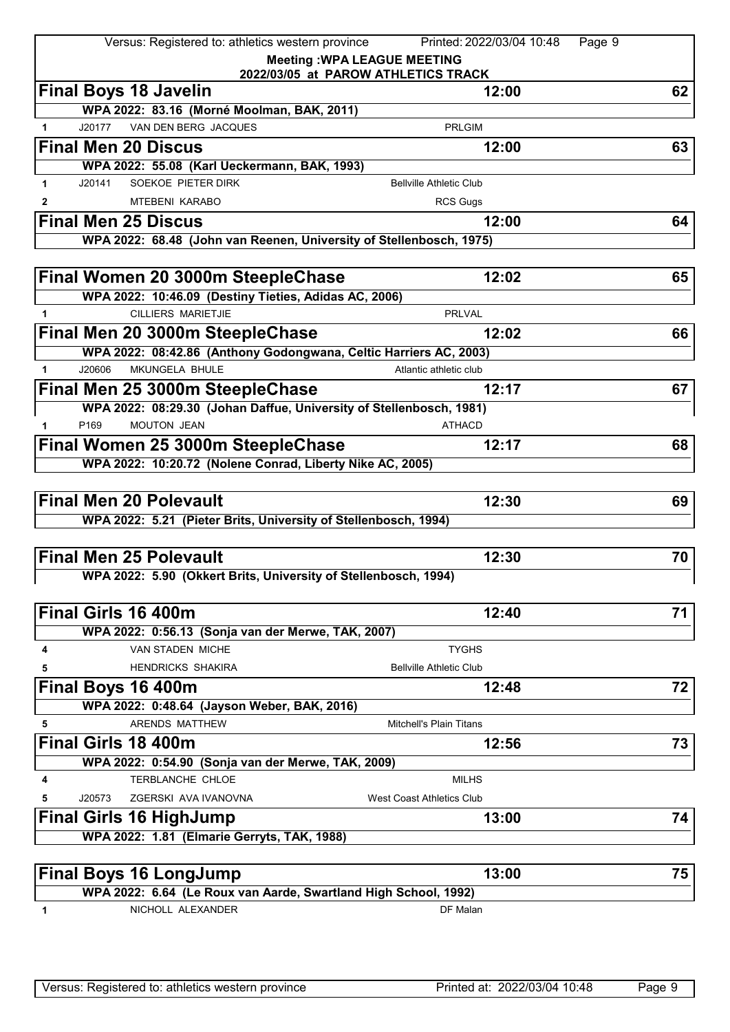|              | Versus: Registered to: athletics western province                   | Printed: 2022/03/04 10:48<br>Page 9                                       |    |
|--------------|---------------------------------------------------------------------|---------------------------------------------------------------------------|----|
|              |                                                                     | <b>Meeting: WPA LEAGUE MEETING</b><br>2022/03/05 at PAROW ATHLETICS TRACK |    |
|              | <b>Final Boys 18 Javelin</b>                                        | 12:00                                                                     | 62 |
|              | WPA 2022: 83.16 (Morné Moolman, BAK, 2011)                          |                                                                           |    |
| $\mathbf{1}$ | VAN DEN BERG JACQUES<br>J20177                                      | <b>PRLGIM</b>                                                             |    |
|              | <b>Final Men 20 Discus</b>                                          | 12:00                                                                     | 63 |
|              | WPA 2022: 55.08 (Karl Ueckermann, BAK, 1993)                        |                                                                           |    |
| $\mathbf{1}$ | SOEKOE PIETER DIRK<br>J20141                                        | <b>Bellville Athletic Club</b>                                            |    |
| 2            | <b>MTEBENI KARABO</b>                                               | <b>RCS Gugs</b>                                                           |    |
|              | <b>Final Men 25 Discus</b>                                          | 12:00                                                                     | 64 |
|              | WPA 2022: 68.48 (John van Reenen, University of Stellenbosch, 1975) |                                                                           |    |
|              | Final Women 20 3000m SteepleChase                                   | 12:02                                                                     | 65 |
|              | WPA 2022: 10:46.09 (Destiny Tieties, Adidas AC, 2006)               |                                                                           |    |
| 1.           | <b>CILLIERS MARIETJIE</b>                                           | <b>PRLVAL</b>                                                             |    |
|              | Final Men 20 3000m SteepleChase                                     | 12:02                                                                     | 66 |
|              | WPA 2022: 08:42.86 (Anthony Godongwana, Celtic Harriers AC, 2003)   |                                                                           |    |
| $\mathbf 1$  | MKUNGELA BHULE<br>J20606                                            | Atlantic athletic club                                                    |    |
|              | Final Men 25 3000m SteepleChase                                     | 12:17                                                                     | 67 |
|              | WPA 2022: 08:29.30 (Johan Daffue, University of Stellenbosch, 1981) |                                                                           |    |
| $\mathbf{1}$ | <b>MOUTON JEAN</b><br>P <sub>169</sub>                              | <b>ATHACD</b>                                                             |    |
|              | Final Women 25 3000m SteepleChase                                   | 12:17                                                                     | 68 |
|              | WPA 2022: 10:20.72 (Nolene Conrad, Liberty Nike AC, 2005)           |                                                                           |    |
|              |                                                                     |                                                                           |    |
|              | <b>Final Men 20 Polevault</b>                                       | 12:30                                                                     | 69 |
|              | WPA 2022: 5.21 (Pieter Brits, University of Stellenbosch, 1994)     |                                                                           |    |
|              | <b>Final Men 25 Polevault</b>                                       | 12:30                                                                     | 70 |
|              | WPA 2022: 5.90 (Okkert Brits, University of Stellenbosch, 1994)     |                                                                           |    |
|              |                                                                     |                                                                           |    |
|              | Final Girls 16 400m                                                 | 12:40                                                                     | 71 |
|              | WPA 2022: 0:56.13 (Sonja van der Merwe, TAK, 2007)                  |                                                                           |    |
| 4            | VAN STADEN MICHE                                                    | <b>TYGHS</b>                                                              |    |
| 5            | <b>HENDRICKS SHAKIRA</b>                                            | <b>Bellville Athletic Club</b>                                            |    |
|              | Final Boys 16 400m                                                  | 12:48                                                                     | 72 |
|              | WPA 2022: 0:48.64 (Jayson Weber, BAK, 2016)                         |                                                                           |    |
| 5            | ARENDS MATTHEW                                                      | <b>Mitchell's Plain Titans</b>                                            |    |
|              | <b>Final Girls 18 400m</b>                                          | 12:56                                                                     | 73 |
|              | WPA 2022: 0:54.90 (Sonja van der Merwe, TAK, 2009)                  |                                                                           |    |
| 4            | TERBLANCHE CHLOE                                                    | <b>MILHS</b>                                                              |    |
| 5            | J20573<br>ZGERSKI AVA IVANOVNA                                      | <b>West Coast Athletics Club</b>                                          |    |
|              | <b>Final Girls 16 HighJump</b>                                      | 13:00                                                                     | 74 |
|              | WPA 2022: 1.81 (Elmarie Gerryts, TAK, 1988)                         |                                                                           |    |
|              |                                                                     |                                                                           |    |
|              | <b>Final Boys 16 LongJump</b>                                       | 13:00                                                                     | 75 |
|              | WPA 2022: 6.64 (Le Roux van Aarde, Swartland High School, 1992)     |                                                                           |    |

**1** NICHOLL ALEXANDER DF Malan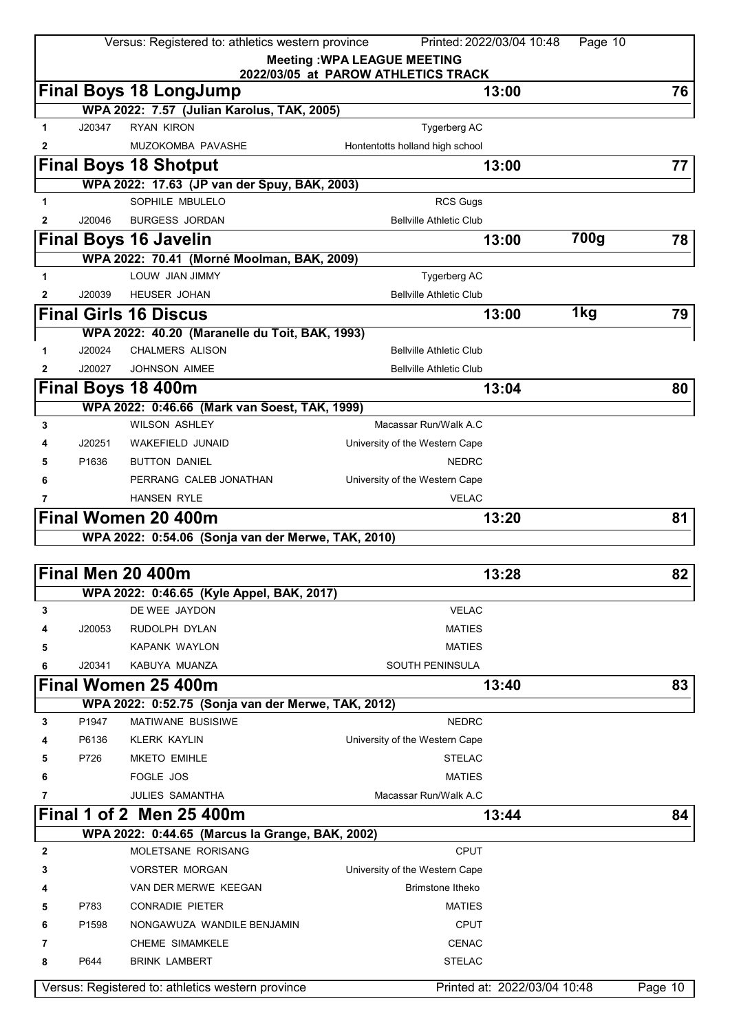|              |        | Versus: Registered to: athletics western province                       |                                     | Printed: 2022/03/04 10:48    | Page 10 |         |
|--------------|--------|-------------------------------------------------------------------------|-------------------------------------|------------------------------|---------|---------|
|              |        |                                                                         | <b>Meeting: WPA LEAGUE MEETING</b>  |                              |         |         |
|              |        | <b>Final Boys 18 LongJump</b>                                           | 2022/03/05 at PAROW ATHLETICS TRACK | 13:00                        |         | 76      |
|              |        | WPA 2022: 7.57 (Julian Karolus, TAK, 2005)                              |                                     |                              |         |         |
| 1            | J20347 | <b>RYAN KIRON</b>                                                       | <b>Tygerberg AC</b>                 |                              |         |         |
| 2            |        | MUZOKOMBA PAVASHE                                                       | Hontentotts holland high school     |                              |         |         |
|              |        | <b>Final Boys 18 Shotput</b>                                            |                                     | 13:00                        |         | 77      |
|              |        | WPA 2022: 17.63 (JP van der Spuy, BAK, 2003)                            |                                     |                              |         |         |
| 1            |        | SOPHILE MBULELO                                                         | <b>RCS Gugs</b>                     |                              |         |         |
| 2            | J20046 | <b>BURGESS JORDAN</b>                                                   | <b>Bellville Athletic Club</b>      |                              |         |         |
|              |        | <b>Final Boys 16 Javelin</b>                                            |                                     | 13:00                        | 700g    | 78      |
|              |        | WPA 2022: 70.41 (Morné Moolman, BAK, 2009)                              |                                     |                              |         |         |
| 1            |        | LOUW JIAN JIMMY                                                         | Tygerberg AC                        |                              |         |         |
| 2            | J20039 | <b>HEUSER JOHAN</b>                                                     | <b>Bellville Athletic Club</b>      |                              |         |         |
|              |        | <b>Final Girls 16 Discus</b>                                            |                                     | 13:00                        | 1kg     | 79      |
|              |        | WPA 2022: 40.20 (Maranelle du Toit, BAK, 1993)                          |                                     |                              |         |         |
| 1            | J20024 | <b>CHALMERS ALISON</b>                                                  | <b>Bellville Athletic Club</b>      |                              |         |         |
| $\mathbf{2}$ | J20027 | <b>JOHNSON AIMEE</b>                                                    | <b>Bellville Athletic Club</b>      |                              |         |         |
|              |        | Final Boys 18 400m                                                      |                                     | 13:04                        |         | 80      |
|              |        |                                                                         |                                     |                              |         |         |
| 3            |        | WPA 2022: 0:46.66 (Mark van Soest, TAK, 1999)<br><b>WILSON ASHLEY</b>   | Macassar Run/Walk A.C               |                              |         |         |
|              |        |                                                                         |                                     |                              |         |         |
|              | J20251 | WAKEFIELD JUNAID                                                        | University of the Western Cape      |                              |         |         |
| 5            | P1636  | <b>BUTTON DANIEL</b>                                                    | <b>NEDRC</b>                        |                              |         |         |
| 6            |        | PERRANG CALEB JONATHAN                                                  | University of the Western Cape      |                              |         |         |
|              |        | <b>HANSEN RYLE</b>                                                      | <b>VELAC</b>                        |                              |         |         |
|              |        | Final Women 20 400m                                                     |                                     | 13:20                        |         | 81      |
|              |        | WPA 2022: 0:54.06 (Sonja van der Merwe, TAK, 2010)                      |                                     |                              |         |         |
|              |        | Final Men 20 400m                                                       |                                     | 13:28                        |         | 82      |
|              |        | WPA 2022: 0:46.65 (Kyle Appel, BAK, 2017)                               |                                     |                              |         |         |
| 3            |        | DE WEE JAYDON                                                           | <b>VELAC</b>                        |                              |         |         |
| 4            | J20053 | RUDOLPH DYLAN                                                           | <b>MATIES</b>                       |                              |         |         |
| 5            |        | <b>KAPANK WAYLON</b>                                                    | <b>MATIES</b>                       |                              |         |         |
| 6            | J20341 | KABUYA MUANZA                                                           | <b>SOUTH PENINSULA</b>              |                              |         |         |
|              |        |                                                                         |                                     |                              |         |         |
|              |        | Final Women 25 400m                                                     |                                     | 13:40                        |         | 83      |
| 3            | P1947  | WPA 2022: 0:52.75 (Sonja van der Merwe, TAK, 2012)<br>MATIWANE BUSISIWE | <b>NEDRC</b>                        |                              |         |         |
|              | P6136  | <b>KLERK KAYLIN</b>                                                     | University of the Western Cape      |                              |         |         |
|              | P726   | <b>MKETO EMIHLE</b>                                                     | <b>STELAC</b>                       |                              |         |         |
| 5            |        | FOGLE JOS                                                               | <b>MATIES</b>                       |                              |         |         |
| 6            |        |                                                                         |                                     |                              |         |         |
| 7            |        | <b>JULIES SAMANTHA</b>                                                  | Macassar Run/Walk A.C               |                              |         |         |
|              |        | Final 1 of 2 Men 25 400m                                                |                                     | 13:44                        |         | 84      |
|              |        | WPA 2022: 0:44.65 (Marcus la Grange, BAK, 2002)<br>MOLETSANE RORISANG   |                                     |                              |         |         |
| $\mathbf{2}$ |        |                                                                         | <b>CPUT</b>                         |                              |         |         |
| 3            |        | <b>VORSTER MORGAN</b>                                                   | University of the Western Cape      |                              |         |         |
| 4            |        | VAN DER MERWE KEEGAN                                                    | Brimstone Itheko                    |                              |         |         |
| 5            | P783   | <b>CONRADIE PIETER</b>                                                  | <b>MATIES</b>                       |                              |         |         |
| 6            | P1598  | NONGAWUZA WANDILE BENJAMIN                                              | <b>CPUT</b>                         |                              |         |         |
| 7            |        | <b>CHEME SIMAMKELE</b>                                                  | <b>CENAC</b>                        |                              |         |         |
| 8            | P644   | <b>BRINK LAMBERT</b>                                                    | <b>STELAC</b>                       |                              |         |         |
|              |        | Versus: Registered to: athletics western province                       |                                     | Printed at: 2022/03/04 10:48 |         | Page 10 |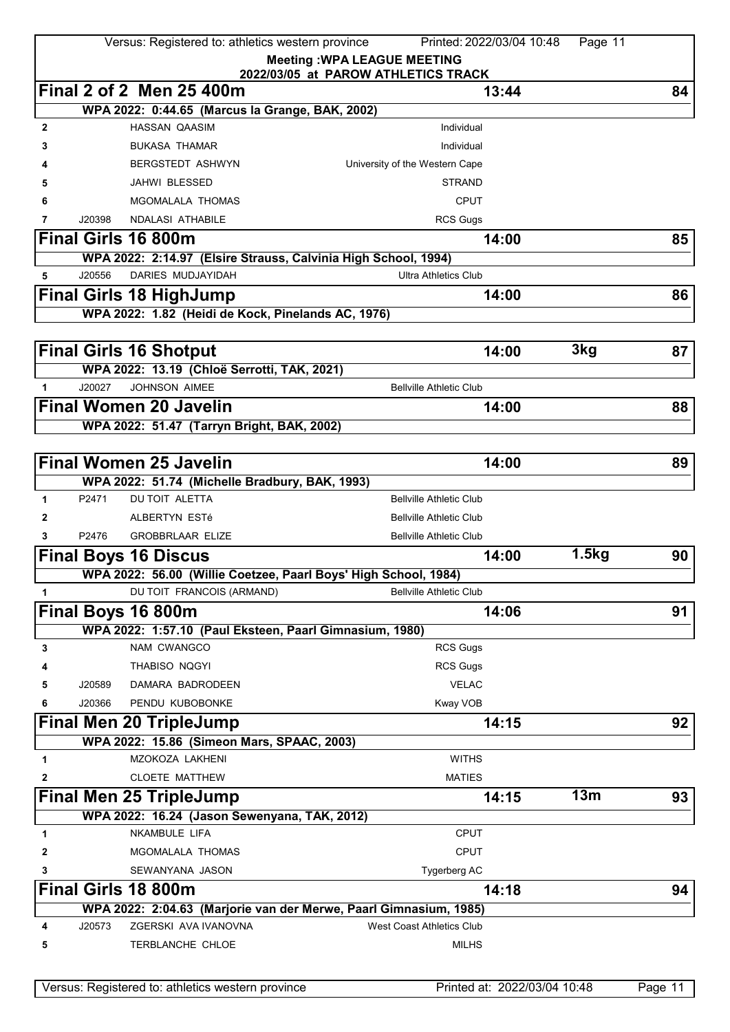|              |        | Versus: Registered to: athletics western province       | Printed: 2022/03/04 10:48<br>Page 11                                                              |    |
|--------------|--------|---------------------------------------------------------|---------------------------------------------------------------------------------------------------|----|
|              |        |                                                         | <b>Meeting: WPA LEAGUE MEETING</b>                                                                |    |
|              |        |                                                         | 2022/03/05 at PAROW ATHLETICS TRACK                                                               |    |
|              |        | Final 2 of 2 Men 25 400m                                | 13:44                                                                                             | 84 |
|              |        | WPA 2022: 0:44.65 (Marcus la Grange, BAK, 2002)         |                                                                                                   |    |
| $\mathbf{2}$ |        | <b>HASSAN QAASIM</b>                                    | Individual                                                                                        |    |
| 3            |        | <b>BUKASA THAMAR</b>                                    | Individual                                                                                        |    |
|              |        | <b>BERGSTEDT ASHWYN</b>                                 | University of the Western Cape                                                                    |    |
| 5            |        | JAHWI BLESSED                                           | <b>STRAND</b>                                                                                     |    |
| 6            |        | MGOMALALA THOMAS                                        | <b>CPUT</b>                                                                                       |    |
| 7            | J20398 | NDALASI ATHABILE                                        | <b>RCS Gugs</b>                                                                                   |    |
|              |        | <b>Final Girls 16 800m</b>                              | 14:00                                                                                             | 85 |
|              |        |                                                         | WPA 2022: 2:14.97 (Elsire Strauss, Calvinia High School, 1994)                                    |    |
| 5            | J20556 | DARIES MUDJAYIDAH                                       | <b>Ultra Athletics Club</b>                                                                       |    |
|              |        | <b>Final Girls 18 HighJump</b>                          | 14:00                                                                                             | 86 |
|              |        | WPA 2022: 1.82 (Heidi de Kock, Pinelands AC, 1976)      |                                                                                                   |    |
|              |        |                                                         |                                                                                                   |    |
|              |        | <b>Final Girls 16 Shotput</b>                           | 3kg<br>14:00                                                                                      | 87 |
|              |        | WPA 2022: 13.19 (Chloë Serrotti, TAK, 2021)             |                                                                                                   |    |
| $\mathbf{1}$ | J20027 | <b>JOHNSON AIMEE</b>                                    | <b>Bellville Athletic Club</b>                                                                    |    |
|              |        | <b>Final Women 20 Javelin</b>                           | 14:00                                                                                             | 88 |
|              |        | WPA 2022: 51.47 (Tarryn Bright, BAK, 2002)              |                                                                                                   |    |
|              |        |                                                         |                                                                                                   |    |
|              |        | <b>Final Women 25 Javelin</b>                           | 14:00                                                                                             | 89 |
|              |        | WPA 2022: 51.74 (Michelle Bradbury, BAK, 1993)          |                                                                                                   |    |
| 1            | P2471  | <b>DU TOIT ALETTA</b>                                   | <b>Bellville Athletic Club</b>                                                                    |    |
| 2            |        | ALBERTYN ESTé                                           | <b>Bellville Athletic Club</b>                                                                    |    |
| 3            | P2476  | <b>GROBBRLAAR ELIZE</b>                                 | <b>Bellville Athletic Club</b>                                                                    |    |
|              |        | <b>Final Boys 16 Discus</b>                             | 1.5kg<br>14:00                                                                                    | 90 |
|              |        |                                                         |                                                                                                   |    |
|              |        | DU TOIT FRANCOIS (ARMAND)                               | WPA 2022: 56.00 (Willie Coetzee, Paarl Boys' High School, 1984)<br><b>Bellville Athletic Club</b> |    |
| 1            |        |                                                         |                                                                                                   |    |
|              |        | Final Boys 16 800m                                      | 14:06                                                                                             | 91 |
|              |        | WPA 2022: 1:57.10 (Paul Eksteen, Paarl Gimnasium, 1980) |                                                                                                   |    |
| 3            |        | NAM CWANGCO                                             | <b>RCS Gugs</b>                                                                                   |    |
|              |        | THABISO NQGYI                                           | <b>RCS Gugs</b>                                                                                   |    |
| 5            | J20589 | DAMARA BADRODEEN                                        | <b>VELAC</b>                                                                                      |    |
| 6            | J20366 | PENDU KUBOBONKE                                         | Kway VOB                                                                                          |    |
|              |        | <b>Final Men 20 TripleJump</b>                          | 14:15                                                                                             | 92 |
|              |        | WPA 2022: 15.86 (Simeon Mars, SPAAC, 2003)              |                                                                                                   |    |
| 1            |        | MZOKOZA LAKHENI                                         | <b>WITHS</b>                                                                                      |    |
| 2            |        | <b>CLOETE MATTHEW</b>                                   | <b>MATIES</b>                                                                                     |    |
|              |        | <b>Final Men 25 TripleJump</b>                          | 13m<br>14:15                                                                                      | 93 |
|              |        | WPA 2022: 16.24 (Jason Sewenyana, TAK, 2012)            |                                                                                                   |    |
| 1            |        | <b>NKAMBULE LIFA</b>                                    | <b>CPUT</b>                                                                                       |    |
| 2            |        | MGOMALALA THOMAS                                        | <b>CPUT</b>                                                                                       |    |
| 3            |        | SEWANYANA JASON                                         | Tygerberg AC                                                                                      |    |
|              |        | <b>Final Girls 18 800m</b>                              | 14:18                                                                                             | 94 |
|              |        |                                                         | WPA 2022: 2:04.63 (Marjorie van der Merwe, Paarl Gimnasium, 1985)                                 |    |
| 4            | J20573 | ZGERSKI AVA IVANOVNA                                    | <b>West Coast Athletics Club</b>                                                                  |    |
| 5            |        | TERBLANCHE CHLOE                                        | <b>MILHS</b>                                                                                      |    |
|              |        |                                                         |                                                                                                   |    |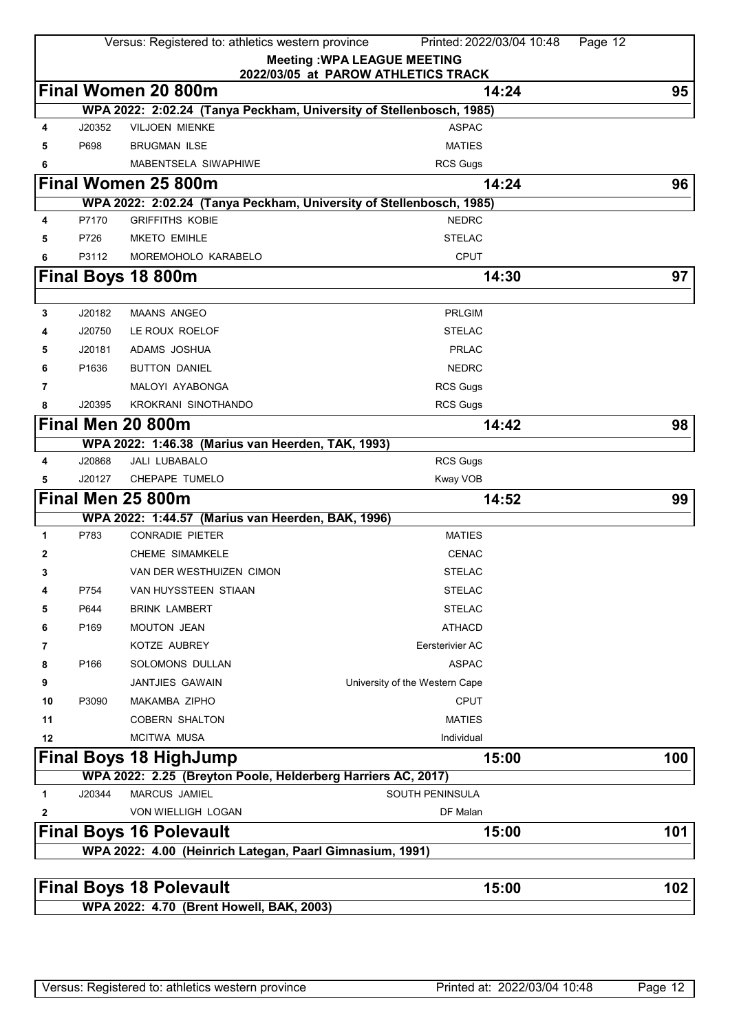|          |                  | Versus: Registered to: athletics western province                                             | Printed: 2022/03/04 10:48<br>Page 12                                      |     |
|----------|------------------|-----------------------------------------------------------------------------------------------|---------------------------------------------------------------------------|-----|
|          |                  |                                                                                               | <b>Meeting: WPA LEAGUE MEETING</b><br>2022/03/05 at PAROW ATHLETICS TRACK |     |
|          |                  | <b>Final Women 20 800m</b>                                                                    | 14:24                                                                     | 95  |
|          |                  | WPA 2022: 2:02.24 (Tanya Peckham, University of Stellenbosch, 1985)                           |                                                                           |     |
| 4        | J20352           | <b>VILJOEN MIENKE</b>                                                                         | <b>ASPAC</b>                                                              |     |
| 5        | P698             | <b>BRUGMAN ILSE</b>                                                                           | <b>MATIES</b>                                                             |     |
| 6        |                  | MABENTSELA SIWAPHIWE                                                                          | <b>RCS Gugs</b>                                                           |     |
|          |                  | Final Women 25 800m                                                                           | 14:24                                                                     | 96  |
|          |                  | WPA 2022: 2:02.24 (Tanya Peckham, University of Stellenbosch, 1985)                           |                                                                           |     |
| 4        | P7170            | <b>GRIFFITHS KOBIE</b>                                                                        | <b>NEDRC</b>                                                              |     |
| 5        | P726             | <b>MKETO EMIHLE</b>                                                                           | <b>STELAC</b>                                                             |     |
| 6        | P3112            | MOREMOHOLO KARABELO                                                                           | <b>CPUT</b>                                                               |     |
|          |                  | Final Boys 18 800m                                                                            | 14:30                                                                     | 97  |
|          |                  |                                                                                               |                                                                           |     |
| 3        | J20182           | <b>MAANS ANGEO</b>                                                                            | <b>PRLGIM</b>                                                             |     |
| 4        | J20750           | LE ROUX ROELOF                                                                                | <b>STELAC</b>                                                             |     |
| 5        | J20181           | ADAMS JOSHUA                                                                                  | <b>PRLAC</b>                                                              |     |
| 6        | P1636            | <b>BUTTON DANIEL</b>                                                                          | <b>NEDRC</b>                                                              |     |
| 7        |                  | MALOYI AYABONGA                                                                               | <b>RCS Gugs</b>                                                           |     |
| 8        | J20395           | KROKRANI SINOTHANDO                                                                           | <b>RCS Gugs</b>                                                           |     |
|          |                  | Final Men 20 800m                                                                             | 14:42                                                                     | 98  |
|          |                  | WPA 2022: 1:46.38 (Marius van Heerden, TAK, 1993)                                             |                                                                           |     |
| 4        | J20868           | <b>JALI LUBABALO</b>                                                                          | <b>RCS Gugs</b>                                                           |     |
| 5        | J20127           | CHEPAPE TUMELO                                                                                | Kway VOB                                                                  |     |
|          |                  | Final Men 25 800m                                                                             | 14:52                                                                     | 99  |
|          |                  | WPA 2022: 1:44.57 (Marius van Heerden, BAK, 1996)                                             |                                                                           |     |
| 1        | P783             | <b>CONRADIE PIETER</b>                                                                        | <b>MATIES</b>                                                             |     |
| 2        |                  | <b>CHEME SIMAMKELE</b>                                                                        | <b>CENAC</b>                                                              |     |
| 3        |                  | VAN DER WESTHUIZEN CIMON                                                                      | STELAC                                                                    |     |
| 4        | P754             | VAN HUYSSTEEN STIAAN                                                                          | <b>STELAC</b>                                                             |     |
| 5        | P644             | <b>BRINK LAMBERT</b>                                                                          | <b>STELAC</b><br><b>ATHACD</b>                                            |     |
| 6        | P <sub>169</sub> | <b>MOUTON JEAN</b>                                                                            |                                                                           |     |
| 7        | P166             | KOTZE AUBREY<br>SOLOMONS DULLAN                                                               | Eersterivier AC<br><b>ASPAC</b>                                           |     |
| 8        |                  | <b>JANTJIES GAWAIN</b>                                                                        |                                                                           |     |
| 9        |                  |                                                                                               | University of the Western Cape<br><b>CPUT</b>                             |     |
| 10<br>11 | P3090            | MAKAMBA ZIPHO<br><b>COBERN SHALTON</b>                                                        | <b>MATIES</b>                                                             |     |
| 12       |                  | <b>MCITWA MUSA</b>                                                                            | Individual                                                                |     |
|          |                  |                                                                                               |                                                                           |     |
|          |                  | <b>Final Boys 18 HighJump</b><br>WPA 2022: 2.25 (Breyton Poole, Helderberg Harriers AC, 2017) | 15:00                                                                     | 100 |
| 1        | J20344           | <b>MARCUS JAMIEL</b>                                                                          | SOUTH PENINSULA                                                           |     |
| 2        |                  | VON WIELLIGH LOGAN                                                                            | DF Malan                                                                  |     |
|          |                  | <b>Final Boys 16 Polevault</b>                                                                | 15:00                                                                     | 101 |
|          |                  | WPA 2022: 4.00 (Heinrich Lategan, Paarl Gimnasium, 1991)                                      |                                                                           |     |
|          |                  |                                                                                               |                                                                           |     |
|          |                  | <b>Final Boys 18 Polevault</b>                                                                | 15:00                                                                     | 102 |
|          |                  | WPA 2022: 4.70 (Brent Howell, BAK, 2003)                                                      |                                                                           |     |
|          |                  |                                                                                               |                                                                           |     |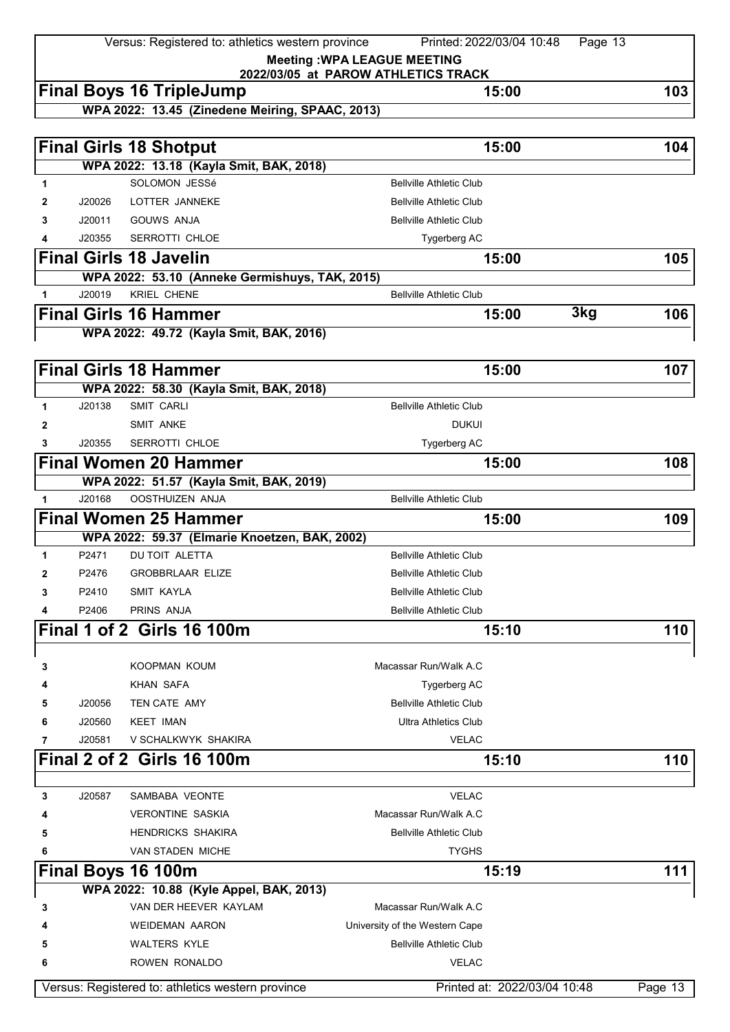Versus: Registered to: athletics western province Printed: 2022/03/04 10:48 Page 13 **Meeting :WPA LEAGUE MEETING 2022/03/05 at PAROW ATHLETICS TRACK Final Boys 16 TripleJump 15:00 103 WPA 2022: 13.45 (Zinedene Meiring, SPAAC, 2013) Final Girls 18 Shotput 15:00 104 WPA 2022: 13.18 (Kayla Smit, BAK, 2018) 1 1** SOLOMON JESSé **Bellville Athletic Club 2** J20026 LOTTER JANNEKE **Bellville Athletic Club 3** J20011 GOUWS ANJA **Bellville Athletic Club 4** J20355 SERROTTI CHLOE **The CONTRACT CHANGE SERVICE SERVICE SERVICE SERVICE SERVICE SERVICE SERVICE SERVICE SERVICE SERVICE SERVICE SERVICE SERVICE SERVICE SERVICE SERVICE SERVICE SERVICE SERVICE SERVICE SERVICE SERVICE Final Girls 18 Javelin 15:00 105 WPA 2022: 53.10 (Anneke Germishuys, TAK, 2015) 1** J20019 KRIEL CHENE Bellville Athletic Club **Final Girls 16 Hammer 15:00 3kg 106 WPA 2022: 49.72 (Kayla Smit, BAK, 2016) Final Girls 18 Hammer 15:00 107 WPA 2022: 58.30 (Kayla Smit, BAK, 2018) 1** J20138 SMIT CARLI BELLY Bellville Athletic Club **2** SMIT ANKE DUKUI **3** J20355 SERROTTI CHLOE **Tygerberg AC Final Women 20 Hammer 15:00 108 WPA 2022: 51.57 (Kayla Smit, BAK, 2019) 1** J20168 OOSTHUIZEN ANJA Bellville Athletic Club **Final Women 25 Hammer 15:00 109 WPA 2022: 59.37 (Elmarie Knoetzen, BAK, 2002) 1** P2471 DU TOIT ALETTA Bellville Athletic Club **2** P2476 GROBBRLAAR ELIZE Bellville Athletic Club **3** P2410 SMIT KAYLA **Bellville Athletic Club 4** P2406 PRINS ANJA Bellville Athletic Club **Final 1 of 2 Girls 16 100m 15:10 110 3** KOOPMAN KOUM Macassar Run/Walk A.C **4** KHAN SAFA **Tygerberg AC 5** J20056 TEN CATE AMY **Bellville Athletic Club 6** J20560 KEET IMAN **DEEXALL SEEM** Ultra Athletics Club **7** J20581 V SCHALKWYK SHAKIRA VELAC **Final 2 of 2 Girls 16 100m 15:10 110 3** J20587 SAMBABA VEONTE VELAC **4 1 VERONTINE SASKIA Macassar Run/Walk A.C 5 HENDRICKS SHAKIRA Bellville Athletic Club 6** VAN STADEN MICHE **TYGHS Final Boys 16 100m 15:19 111 WPA 2022: 10.88 (Kyle Appel, BAK, 2013) 3** VAN DER HEEVER KAYLAM MACASSAR Run/Walk A.C **4** WEIDEMAN AARON University of the Western Cape **5** WALTERS KYLE **Bellville Athletic Club** 

Versus: Registered to: athletics western province Printed at: 2022/03/04 10:48 Page 13

**6** ROWEN RONALDO VELAC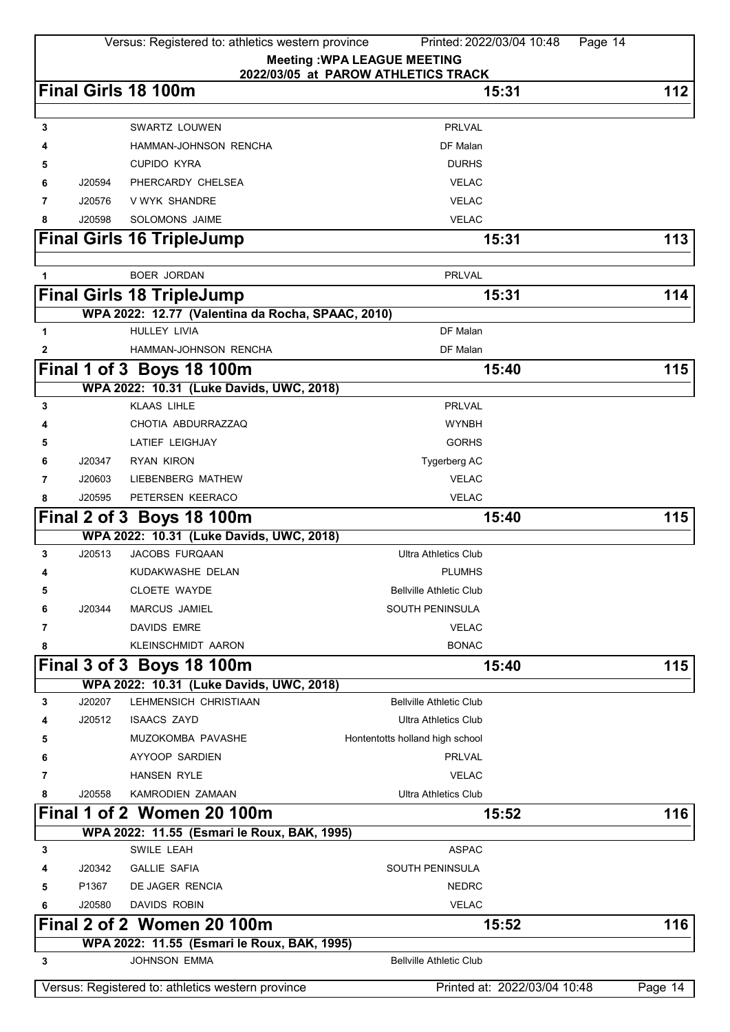|   |        | Versus: Registered to: athletics western province                        | Printed: 2022/03/04 10:48           | Page 14                      |           |
|---|--------|--------------------------------------------------------------------------|-------------------------------------|------------------------------|-----------|
|   |        |                                                                          | <b>Meeting: WPA LEAGUE MEETING</b>  |                              |           |
|   |        |                                                                          | 2022/03/05 at PAROW ATHLETICS TRACK |                              |           |
|   |        | Final Girls 18 100m                                                      | 15:31                               |                              | 112       |
| 3 |        | SWARTZ LOUWEN                                                            | <b>PRLVAL</b>                       |                              |           |
|   |        |                                                                          | DF Malan                            |                              |           |
|   |        | HAMMAN-JOHNSON RENCHA                                                    | <b>DURHS</b>                        |                              |           |
| 5 |        | <b>CUPIDO KYRA</b>                                                       |                                     |                              |           |
| 6 | J20594 | PHERCARDY CHELSEA                                                        | <b>VELAC</b>                        |                              |           |
| 7 | J20576 | V WYK SHANDRE                                                            | <b>VELAC</b>                        |                              |           |
| 8 | J20598 | <b>SOLOMONS JAIME</b>                                                    | <b>VELAC</b>                        |                              |           |
|   |        | <b>Final Girls 16 TripleJump</b>                                         | 15:31                               |                              | 113       |
| 1 |        | <b>BOER JORDAN</b>                                                       | <b>PRLVAL</b>                       |                              |           |
|   |        |                                                                          | 15:31                               |                              | 114       |
|   |        | <b>Final Girls 18 TripleJump</b>                                         |                                     |                              |           |
| 1 |        | WPA 2022: 12.77 (Valentina da Rocha, SPAAC, 2010)<br><b>HULLEY LIVIA</b> | DF Malan                            |                              |           |
|   |        |                                                                          | DF Malan                            |                              |           |
| 2 |        | HAMMAN-JOHNSON RENCHA                                                    |                                     |                              |           |
|   |        | Final 1 of 3 Boys 18 100m                                                | 15:40                               |                              | 115       |
|   |        | WPA 2022: 10.31 (Luke Davids, UWC, 2018)                                 |                                     |                              |           |
| 3 |        | <b>KLAAS LIHLE</b>                                                       | <b>PRLVAL</b>                       |                              |           |
|   |        | CHOTIA ABDURRAZZAQ                                                       | <b>WYNBH</b>                        |                              |           |
| 5 |        | <b>LATIEF LEIGHJAY</b>                                                   | <b>GORHS</b>                        |                              |           |
| 6 | J20347 | <b>RYAN KIRON</b>                                                        | Tygerberg AC                        |                              |           |
| 7 | J20603 | LIEBENBERG MATHEW                                                        | <b>VELAC</b>                        |                              |           |
| 8 | J20595 | PETERSEN KEERACO                                                         | <b>VELAC</b>                        |                              |           |
|   |        | Final 2 of 3 Boys 18 100m                                                | 15:40                               |                              | 115       |
|   |        | WPA 2022: 10.31 (Luke Davids, UWC, 2018)                                 |                                     |                              |           |
| 3 | J20513 | JACOBS FURQAAN                                                           | <b>Ultra Athletics Club</b>         |                              |           |
| 4 |        | KUDAKWASHE DELAN                                                         | <b>PLUMHS</b>                       |                              |           |
| 5 |        | <b>CLOETE WAYDE</b>                                                      | <b>Bellville Athletic Club</b>      |                              |           |
| 6 | J20344 | <b>MARCUS JAMIEL</b>                                                     | <b>SOUTH PENINSULA</b>              |                              |           |
| 7 |        | <b>DAVIDS EMRE</b>                                                       | <b>VELAC</b>                        |                              |           |
| 8 |        | KLEINSCHMIDT AARON                                                       | <b>BONAC</b>                        |                              |           |
|   |        | Final 3 of 3 Boys 18 100m                                                | 15:40                               |                              | 115       |
|   |        | WPA 2022: 10.31 (Luke Davids, UWC, 2018)                                 |                                     |                              |           |
| 3 | J20207 | LEHMENSICH CHRISTIAAN                                                    | <b>Bellville Athletic Club</b>      |                              |           |
|   | J20512 | <b>ISAACS ZAYD</b>                                                       | <b>Ultra Athletics Club</b>         |                              |           |
| 5 |        | MUZOKOMBA PAVASHE                                                        | Hontentotts holland high school     |                              |           |
| 6 |        | AYYOOP SARDIEN                                                           | <b>PRLVAL</b>                       |                              |           |
| 7 |        | <b>HANSEN RYLE</b>                                                       | <b>VELAC</b>                        |                              |           |
| 8 | J20558 | KAMRODIEN ZAMAAN                                                         | <b>Ultra Athletics Club</b>         |                              |           |
|   |        | Final 1 of 2 Women 20 100m                                               | 15:52                               |                              | 116       |
|   |        | WPA 2022: 11.55 (Esmari le Roux, BAK, 1995)                              |                                     |                              |           |
| 3 |        | SWILE LEAH                                                               | <b>ASPAC</b>                        |                              |           |
|   | J20342 | <b>GALLIE SAFIA</b>                                                      | <b>SOUTH PENINSULA</b>              |                              |           |
| 5 | P1367  | DE JAGER RENCIA                                                          | <b>NEDRC</b>                        |                              |           |
| 6 | J20580 | <b>DAVIDS ROBIN</b>                                                      | <b>VELAC</b>                        |                              |           |
|   |        | Final 2 of 2 Women 20 100m                                               | 15:52                               |                              | 116       |
|   |        | WPA 2022: 11.55 (Esmari le Roux, BAK, 1995)                              |                                     |                              |           |
| 3 |        | <b>JOHNSON EMMA</b>                                                      | <b>Bellville Athletic Club</b>      |                              |           |
|   |        | Versus: Registered to: athletics western province                        |                                     | Printed at: 2022/03/04 10:48 | Page $14$ |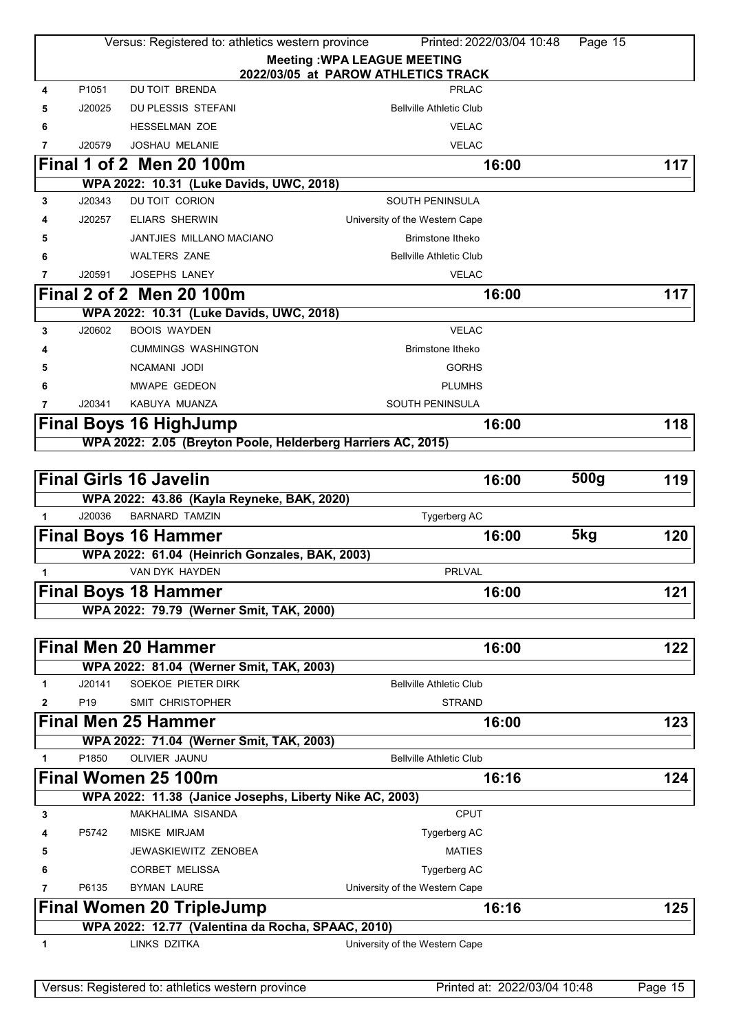|        |                 | Versus: Registered to: athletics western province                   | Printed: 2022/03/04 10:48           | Page 15          |     |
|--------|-----------------|---------------------------------------------------------------------|-------------------------------------|------------------|-----|
|        |                 |                                                                     | <b>Meeting: WPA LEAGUE MEETING</b>  |                  |     |
|        |                 |                                                                     | 2022/03/05 at PAROW ATHLETICS TRACK |                  |     |
| 4      | P1051           | <b>DU TOIT BRENDA</b>                                               | <b>PRLAC</b>                        |                  |     |
| 5      | J20025          | DU PLESSIS STEFANI                                                  | <b>Bellville Athletic Club</b>      |                  |     |
| 6      |                 | <b>HESSELMAN ZOE</b>                                                | <b>VELAC</b>                        |                  |     |
| 7      | J20579          | <b>JOSHAU MELANIE</b>                                               | <b>VELAC</b>                        |                  |     |
|        |                 | <b>Final 1 of 2 Men 20 100m</b>                                     | 16:00                               |                  | 117 |
|        | J20343          | WPA 2022: 10.31 (Luke Davids, UWC, 2018)<br>DU TOIT CORION          | SOUTH PENINSULA                     |                  |     |
| 3      |                 |                                                                     |                                     |                  |     |
|        | J20257          | <b>ELIARS SHERWIN</b>                                               | University of the Western Cape      |                  |     |
| 5      |                 | JANTJIES MILLANO MACIANO                                            | <b>Brimstone Itheko</b>             |                  |     |
| 6      |                 | <b>WALTERS ZANE</b>                                                 | <b>Bellville Athletic Club</b>      |                  |     |
| 7      | J20591          | <b>JOSEPHS LANEY</b>                                                | <b>VELAC</b>                        |                  |     |
|        |                 | Final 2 of 2 Men 20 100m                                            | 16:00                               |                  | 117 |
|        |                 | WPA 2022: 10.31 (Luke Davids, UWC, 2018)                            |                                     |                  |     |
| 3      | J20602          | <b>BOOIS WAYDEN</b>                                                 | <b>VELAC</b>                        |                  |     |
| 4      |                 | <b>CUMMINGS WASHINGTON</b>                                          | <b>Brimstone Itheko</b>             |                  |     |
| 5      |                 | NCAMANI JODI                                                        | <b>GORHS</b>                        |                  |     |
| 6      |                 | <b>MWAPE GEDEON</b>                                                 | <b>PLUMHS</b>                       |                  |     |
| 7      | J20341          | KABUYA MUANZA                                                       | <b>SOUTH PENINSULA</b>              |                  |     |
|        |                 | <b>Final Boys 16 HighJump</b>                                       | 16:00                               |                  | 118 |
|        |                 | WPA 2022: 2.05 (Breyton Poole, Helderberg Harriers AC, 2015)        |                                     |                  |     |
|        |                 |                                                                     |                                     |                  |     |
|        |                 | <b>Final Girls 16 Javelin</b>                                       | 16:00                               | 500 <sub>g</sub> | 119 |
| 1      | J20036          | WPA 2022: 43.86 (Kayla Reyneke, BAK, 2020)<br><b>BARNARD TAMZIN</b> | Tygerberg AC                        |                  |     |
|        |                 |                                                                     |                                     | 5kg              |     |
|        |                 | <b>Final Boys 16 Hammer</b>                                         | 16:00                               |                  | 120 |
|        |                 | WPA 2022: 61.04 (Heinrich Gonzales, BAK, 2003)<br>VAN DYK HAYDEN    | PRLVAL                              |                  |     |
| 1      |                 |                                                                     |                                     |                  |     |
|        |                 | <b>Final Boys 18 Hammer</b>                                         | 16:00                               |                  | 121 |
|        |                 | WPA 2022: 79.79 (Werner Smit, TAK, 2000)                            |                                     |                  |     |
|        |                 | <b>Final Men 20 Hammer</b>                                          | 16:00                               |                  | 122 |
|        |                 | WPA 2022: 81.04 (Werner Smit, TAK, 2003)                            |                                     |                  |     |
| 1      | J20141          | SOEKOE PIETER DIRK                                                  | <b>Bellville Athletic Club</b>      |                  |     |
| 2      | P <sub>19</sub> | SMIT CHRISTOPHER                                                    | <b>STRAND</b>                       |                  |     |
|        |                 | <b>Final Men 25 Hammer</b>                                          | 16:00                               |                  | 123 |
|        |                 | WPA 2022: 71.04 (Werner Smit, TAK, 2003)                            |                                     |                  |     |
| 1      | P1850           | OLIVIER JAUNU                                                       | <b>Bellville Athletic Club</b>      |                  |     |
|        |                 | Final Women 25 100m                                                 | 16:16                               |                  | 124 |
|        |                 | WPA 2022: 11.38 (Janice Josephs, Liberty Nike AC, 2003)             |                                     |                  |     |
| 3      |                 | <b>MAKHALIMA SISANDA</b>                                            | <b>CPUT</b>                         |                  |     |
|        | P5742           | <b>MISKE MIRJAM</b>                                                 | Tygerberg AC                        |                  |     |
|        |                 | JEWASKIEWITZ ZENOBEA                                                | <b>MATIES</b>                       |                  |     |
| 5<br>6 |                 | <b>CORBET MELISSA</b>                                               | Tygerberg AC                        |                  |     |
| 7      | P6135           | <b>BYMAN LAURE</b>                                                  | University of the Western Cape      |                  |     |
|        |                 |                                                                     |                                     |                  |     |
|        |                 | Final Women 20 TripleJump                                           | 16:16                               |                  | 125 |
| 1      |                 | WPA 2022: 12.77 (Valentina da Rocha, SPAAC, 2010)<br>LINKS DZITKA   | University of the Western Cape      |                  |     |
|        |                 |                                                                     |                                     |                  |     |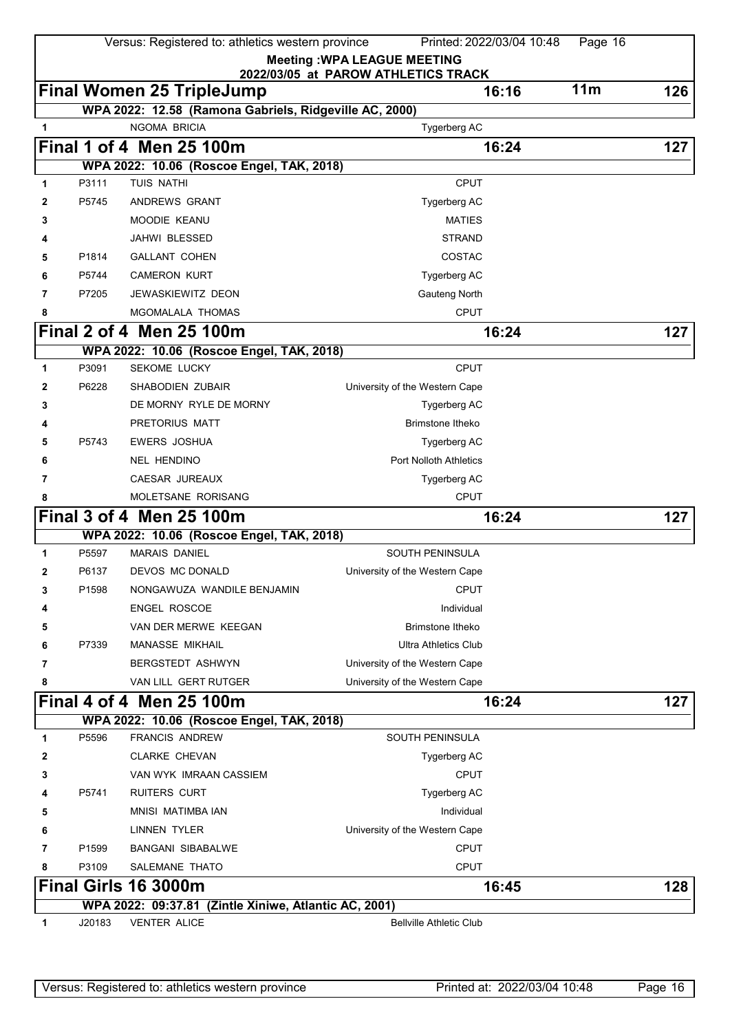|   |        | Versus: Registered to: athletics western province      |                                     | Printed: 2022/03/04 10:48 | Page 16         |     |
|---|--------|--------------------------------------------------------|-------------------------------------|---------------------------|-----------------|-----|
|   |        |                                                        | <b>Meeting: WPA LEAGUE MEETING</b>  |                           |                 |     |
|   |        |                                                        | 2022/03/05 at PAROW ATHLETICS TRACK |                           |                 |     |
|   |        | <b>Final Women 25 TripleJump</b>                       |                                     | 16:16                     | 11 <sub>m</sub> | 126 |
|   |        | WPA 2022: 12.58 (Ramona Gabriels, Ridgeville AC, 2000) |                                     |                           |                 |     |
| 1 |        | <b>NGOMA BRICIA</b>                                    | Tygerberg AC                        |                           |                 |     |
|   |        | Final 1 of 4 Men 25 100m                               |                                     | 16:24                     |                 | 127 |
|   |        | WPA 2022: 10.06 (Roscoe Engel, TAK, 2018)              |                                     |                           |                 |     |
| 1 | P3111  | TUIS NATHI                                             | <b>CPUT</b>                         |                           |                 |     |
| 2 | P5745  | ANDREWS GRANT                                          | Tygerberg AC                        |                           |                 |     |
| 3 |        | MOODIE KEANU                                           | <b>MATIES</b>                       |                           |                 |     |
| 4 |        | JAHWI BLESSED                                          | <b>STRAND</b>                       |                           |                 |     |
| 5 | P1814  | <b>GALLANT COHEN</b>                                   | COSTAC                              |                           |                 |     |
| 6 | P5744  | <b>CAMERON KURT</b>                                    | Tygerberg AC                        |                           |                 |     |
| 7 | P7205  | JEWASKIEWITZ DEON                                      | Gauteng North                       |                           |                 |     |
| 8 |        | MGOMALALA THOMAS                                       | <b>CPUT</b>                         |                           |                 |     |
|   |        | Final 2 of 4 Men 25 100m                               |                                     | 16:24                     |                 | 127 |
|   |        | WPA 2022: 10.06 (Roscoe Engel, TAK, 2018)              |                                     |                           |                 |     |
| 1 | P3091  | <b>SEKOME LUCKY</b>                                    | <b>CPUT</b>                         |                           |                 |     |
| 2 | P6228  | SHABODIEN ZUBAIR                                       | University of the Western Cape      |                           |                 |     |
| 3 |        | DE MORNY RYLE DE MORNY                                 | Tygerberg AC                        |                           |                 |     |
|   |        | PRETORIUS MATT                                         | <b>Brimstone Itheko</b>             |                           |                 |     |
| 5 | P5743  | <b>EWERS JOSHUA</b>                                    | Tygerberg AC                        |                           |                 |     |
| 6 |        | <b>NEL HENDINO</b>                                     | <b>Port Nolloth Athletics</b>       |                           |                 |     |
| 7 |        | CAESAR JUREAUX                                         | Tygerberg AC                        |                           |                 |     |
| 8 |        | MOLETSANE RORISANG                                     | <b>CPUT</b>                         |                           |                 |     |
|   |        | Final 3 of 4 Men 25 100m                               |                                     | 16:24                     |                 | 127 |
|   |        | WPA 2022: 10.06 (Roscoe Engel, TAK, 2018)              |                                     |                           |                 |     |
| 1 | P5597  | <b>MARAIS DANIEL</b>                                   | <b>SOUTH PENINSULA</b>              |                           |                 |     |
| 2 | P6137  | DEVOS MC DONALD                                        | University of the Western Cape      |                           |                 |     |
| 3 | P1598  | NONGAWUZA WANDILE BENJAMIN                             | <b>CPUT</b>                         |                           |                 |     |
| 4 |        | <b>ENGEL ROSCOE</b>                                    | Individual                          |                           |                 |     |
| 5 |        | VAN DER MERWE KEEGAN                                   | <b>Brimstone Itheko</b>             |                           |                 |     |
| 6 | P7339  | <b>MANASSE MIKHAIL</b>                                 | <b>Ultra Athletics Club</b>         |                           |                 |     |
| 7 |        | BERGSTEDT ASHWYN                                       | University of the Western Cape      |                           |                 |     |
| 8 |        | VAN LILL GERT RUTGER                                   | University of the Western Cape      |                           |                 |     |
|   |        | Final 4 of 4 Men 25 100m                               |                                     | 16:24                     |                 | 127 |
|   |        | WPA 2022: 10.06 (Roscoe Engel, TAK, 2018)              |                                     |                           |                 |     |
| 1 | P5596  | <b>FRANCIS ANDREW</b>                                  | <b>SOUTH PENINSULA</b>              |                           |                 |     |
| 2 |        | <b>CLARKE CHEVAN</b>                                   | Tygerberg AC                        |                           |                 |     |
| 3 |        | VAN WYK IMRAAN CASSIEM                                 | <b>CPUT</b>                         |                           |                 |     |
| 4 | P5741  | RUITERS CURT                                           | Tygerberg AC                        |                           |                 |     |
| 5 |        | MNISI MATIMBA IAN                                      | Individual                          |                           |                 |     |
| 6 |        | LINNEN TYLER                                           | University of the Western Cape      |                           |                 |     |
| 7 | P1599  | <b>BANGANI SIBABALWE</b>                               | <b>CPUT</b>                         |                           |                 |     |
| 8 | P3109  | SALEMANE THATO                                         | <b>CPUT</b>                         |                           |                 |     |
|   |        | Final Girls 16 3000m                                   |                                     | 16:45                     |                 | 128 |
|   |        | WPA 2022: 09:37.81 (Zintle Xiniwe, Atlantic AC, 2001)  |                                     |                           |                 |     |
| 1 | J20183 | <b>VENTER ALICE</b>                                    | <b>Bellville Athletic Club</b>      |                           |                 |     |
|   |        |                                                        |                                     |                           |                 |     |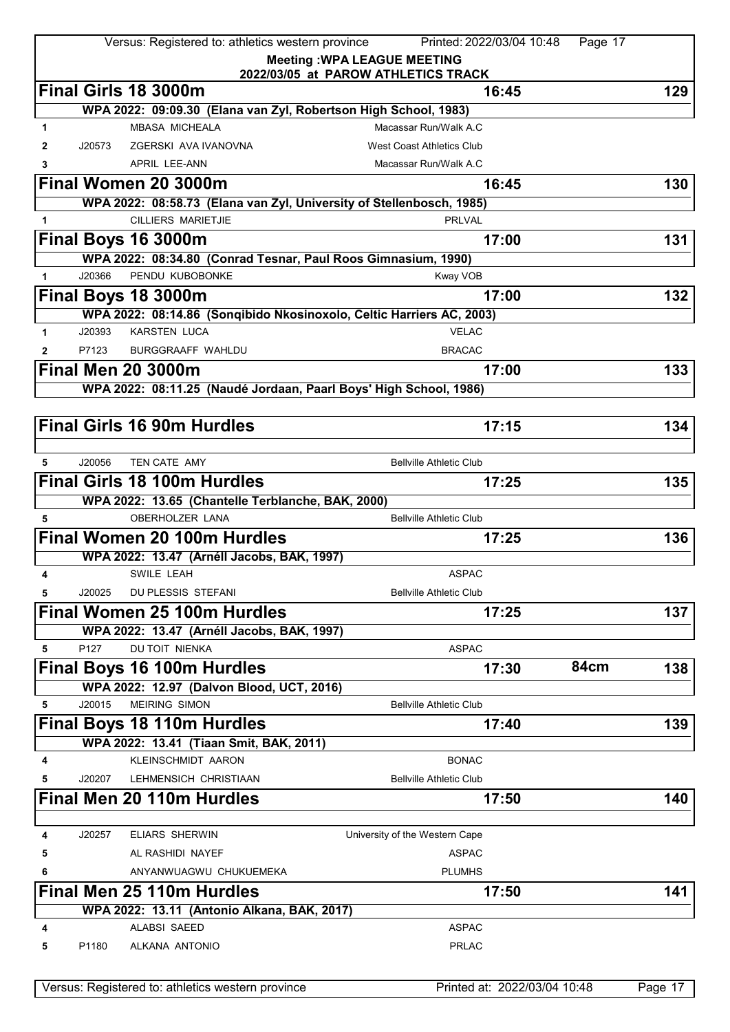|              |        | Versus: Registered to: athletics western province                    | Printed: 2022/03/04 10:48                                                 | Page 17     |
|--------------|--------|----------------------------------------------------------------------|---------------------------------------------------------------------------|-------------|
|              |        |                                                                      | <b>Meeting: WPA LEAGUE MEETING</b><br>2022/03/05 at PAROW ATHLETICS TRACK |             |
|              |        | Final Girls 18 3000m                                                 | 16:45                                                                     | 129         |
|              |        | WPA 2022: 09:09.30 (Elana van Zyl, Robertson High School, 1983)      |                                                                           |             |
| 1            |        | <b>MBASA MICHEALA</b>                                                | Macassar Run/Walk A.C.                                                    |             |
| 2            | J20573 | ZGERSKI AVA IVANOVNA                                                 | <b>West Coast Athletics Club</b>                                          |             |
| 3            |        | APRIL LEE-ANN                                                        | Macassar Run/Walk A.C                                                     |             |
|              |        | Final Women 20 3000m                                                 | 16:45                                                                     | 130         |
|              |        | WPA 2022: 08:58.73 (Elana van Zyl, University of Stellenbosch, 1985) |                                                                           |             |
| 1            |        | <b>CILLIERS MARIETJIE</b>                                            | <b>PRLVAL</b>                                                             |             |
|              |        | Final Boys 16 3000m                                                  | 17:00                                                                     | 131         |
|              |        | WPA 2022: 08:34.80 (Conrad Tesnar, Paul Roos Gimnasium, 1990)        |                                                                           |             |
| $\mathbf{1}$ | J20366 | PENDU KUBOBONKE                                                      | Kway VOB                                                                  |             |
|              |        | Final Boys 18 3000m                                                  | 17:00                                                                     | 132         |
|              |        | WPA 2022: 08:14.86 (Sonqibido Nkosinoxolo, Celtic Harriers AC, 2003) |                                                                           |             |
| 1            | J20393 | <b>KARSTEN LUCA</b>                                                  | <b>VELAC</b>                                                              |             |
| $\mathbf{2}$ | P7123  | <b>BURGGRAAFF WAHLDU</b>                                             | <b>BRACAC</b>                                                             |             |
|              |        | <b>Final Men 20 3000m</b>                                            | 17:00                                                                     | 133         |
|              |        | WPA 2022: 08:11.25 (Naudé Jordaan, Paarl Boys' High School, 1986)    |                                                                           |             |
|              |        |                                                                      |                                                                           |             |
|              |        | <b>Final Girls 16 90m Hurdles</b>                                    | 17:15                                                                     | 134         |
|              |        |                                                                      |                                                                           |             |
| 5            | J20056 | TEN CATE AMY                                                         | <b>Bellville Athletic Club</b>                                            |             |
|              |        | <b>Final Girls 18 100m Hurdles</b>                                   | 17:25                                                                     | 135         |
|              |        | WPA 2022: 13.65 (Chantelle Terblanche, BAK, 2000)                    |                                                                           |             |
| 5            |        | <b>OBERHOLZER LANA</b>                                               | <b>Bellville Athletic Club</b>                                            |             |
|              |        | Final Women 20 100m Hurdles                                          | 17:25                                                                     | 136         |
|              |        | WPA 2022: 13.47 (Arnéll Jacobs, BAK, 1997)                           |                                                                           |             |
| 4            |        | SWILE LEAH                                                           | <b>ASPAC</b>                                                              |             |
| 5            | J20025 | DU PLESSIS STEFANI                                                   | <b>Bellville Athletic Club</b>                                            |             |
|              |        | Final Women 25 100m Hurdles                                          | 17:25                                                                     | 137         |
|              |        | WPA 2022: 13.47 (Arnéll Jacobs, BAK, 1997)                           |                                                                           |             |
| 5            | P127   | <b>DU TOIT NIENKA</b>                                                | <b>ASPAC</b>                                                              |             |
|              |        | Final Boys 16 100m Hurdles                                           | 17:30                                                                     | 84cm<br>138 |
|              |        | WPA 2022: 12.97 (Dalvon Blood, UCT, 2016)                            |                                                                           |             |
| 5            | J20015 | <b>MEIRING SIMON</b>                                                 | <b>Bellville Athletic Club</b>                                            |             |
|              |        | Final Boys 18 110m Hurdles                                           | 17:40                                                                     | 139         |
|              |        | WPA 2022: 13.41 (Tiaan Smit, BAK, 2011)                              |                                                                           |             |
| 4            |        | KLEINSCHMIDT AARON                                                   | <b>BONAC</b>                                                              |             |
| 5            | J20207 | LEHMENSICH CHRISTIAAN                                                | <b>Bellville Athletic Club</b>                                            |             |
|              |        | Final Men 20 110m Hurdles                                            | 17:50                                                                     | 140         |
|              |        |                                                                      |                                                                           |             |
| 4            | J20257 | <b>ELIARS SHERWIN</b>                                                | University of the Western Cape                                            |             |
| 5            |        | AL RASHIDI NAYEF                                                     | <b>ASPAC</b>                                                              |             |
| 6            |        | ANYANWUAGWU CHUKUEMEKA                                               | <b>PLUMHS</b>                                                             |             |
|              |        | Final Men 25 110m Hurdles                                            | 17:50                                                                     | 141         |
|              |        | WPA 2022: 13.11 (Antonio Alkana, BAK, 2017)                          |                                                                           |             |
| 4            |        | <b>ALABSI SAEED</b>                                                  | <b>ASPAC</b>                                                              |             |
| 5            | P1180  | ALKANA ANTONIO                                                       | <b>PRLAC</b>                                                              |             |
|              |        |                                                                      |                                                                           |             |
|              |        | Versus: Registered to: athletics western province                    | Printed at: 2022/03/04 10:48                                              | Page 17     |
|              |        |                                                                      |                                                                           |             |